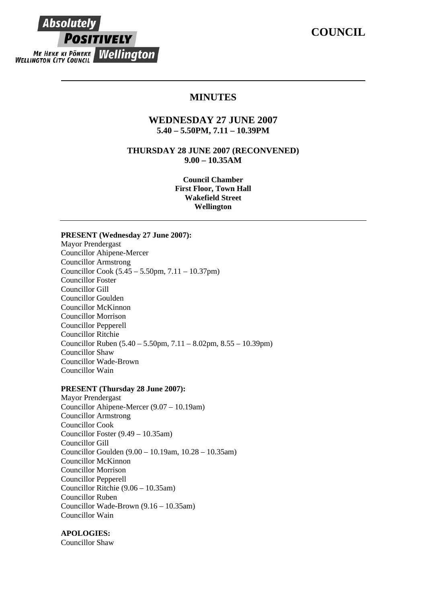# **COUNCIL**



# **MINUTES**

# **WEDNESDAY 27 JUNE 2007 5.40 – 5.50PM, 7.11 – 10.39PM**

**THURSDAY 28 JUNE 2007 (RECONVENED) 9.00 – 10.35AM** 

> **Council Chamber First Floor, Town Hall Wakefield Street Wellington**

#### **PRESENT (Wednesday 27 June 2007):**

Mayor Prendergast Councillor Ahipene-Mercer Councillor Armstrong Councillor Cook (5.45 – 5.50pm, 7.11 – 10.37pm) Councillor Foster Councillor Gill Councillor Goulden Councillor McKinnon Councillor Morrison Councillor Pepperell Councillor Ritchie Councillor Ruben (5.40 – 5.50pm, 7.11 – 8.02pm, 8.55 – 10.39pm) Councillor Shaw Councillor Wade-Brown Councillor Wain

#### **PRESENT (Thursday 28 June 2007):**

Mayor Prendergast Councillor Ahipene-Mercer (9.07 – 10.19am) Councillor Armstrong Councillor Cook Councillor Foster (9.49 – 10.35am) Councillor Gill Councillor Goulden (9.00 – 10.19am, 10.28 – 10.35am) Councillor McKinnon Councillor Morrison Councillor Pepperell Councillor Ritchie (9.06 – 10.35am) Councillor Ruben Councillor Wade-Brown (9.16 – 10.35am) Councillor Wain

#### **APOLOGIES:**

Councillor Shaw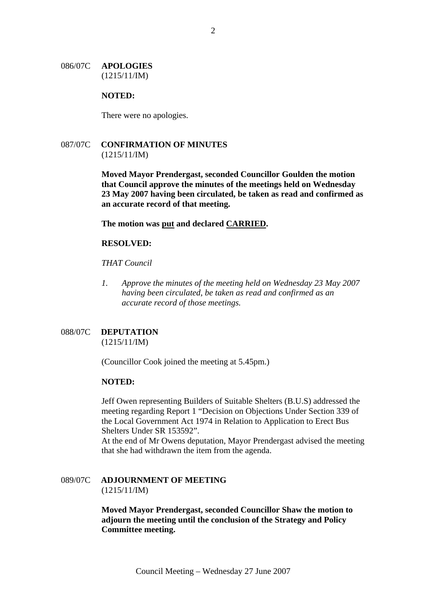#### 086/07C **APOLOGIES** (1215/11/IM)

#### **NOTED:**

There were no apologies.

# 087/07C **CONFIRMATION OF MINUTES** (1215/11/IM)

**Moved Mayor Prendergast, seconded Councillor Goulden the motion that Council approve the minutes of the meetings held on Wednesday 23 May 2007 having been circulated, be taken as read and confirmed as an accurate record of that meeting.**

**The motion was put and declared CARRIED.** 

#### **RESOLVED:**

*THAT Council* 

*1. Approve the minutes of the meeting held on Wednesday 23 May 2007 having been circulated, be taken as read and confirmed as an accurate record of those meetings.* 

### 088/07C **DEPUTATION** (1215/11/IM)

(Councillor Cook joined the meeting at 5.45pm.)

#### **NOTED:**

Jeff Owen representing Builders of Suitable Shelters (B.U.S) addressed the meeting regarding Report 1 "Decision on Objections Under Section 339 of the Local Government Act 1974 in Relation to Application to Erect Bus Shelters Under SR 153592".

At the end of Mr Owens deputation, Mayor Prendergast advised the meeting that she had withdrawn the item from the agenda.

#### 089/07C **ADJOURNMENT OF MEETING** (1215/11/IM)

**Moved Mayor Prendergast, seconded Councillor Shaw the motion to adjourn the meeting until the conclusion of the Strategy and Policy Committee meeting.**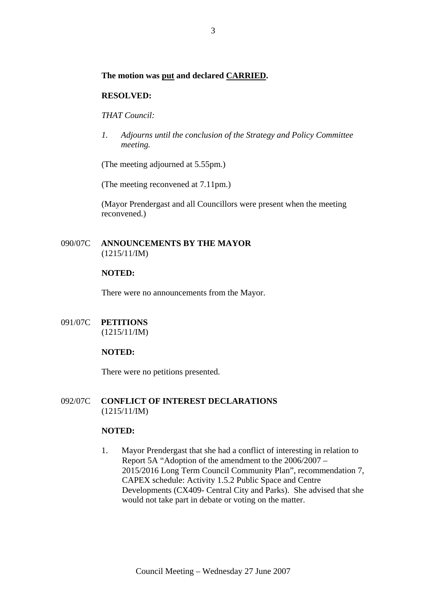#### **The motion was put and declared CARRIED.**

#### **RESOLVED:**

*THAT Council:* 

*1. Adjourns until the conclusion of the Strategy and Policy Committee meeting.*

(The meeting adjourned at 5.55pm.)

(The meeting reconvened at 7.11pm.)

(Mayor Prendergast and all Councillors were present when the meeting reconvened.)

# 090/07C **ANNOUNCEMENTS BY THE MAYOR** (1215/11/IM)

#### **NOTED:**

There were no announcements from the Mayor.

091/07C **PETITIONS** (1215/11/IM)

# **NOTED:**

There were no petitions presented.

#### 092/07C **CONFLICT OF INTEREST DECLARATIONS** (1215/11/IM)

#### **NOTED:**

1. Mayor Prendergast that she had a conflict of interesting in relation to Report 5A "Adoption of the amendment to the 2006/2007 – 2015/2016 Long Term Council Community Plan", recommendation 7, CAPEX schedule: Activity 1.5.2 Public Space and Centre Developments (CX409- Central City and Parks). She advised that she would not take part in debate or voting on the matter.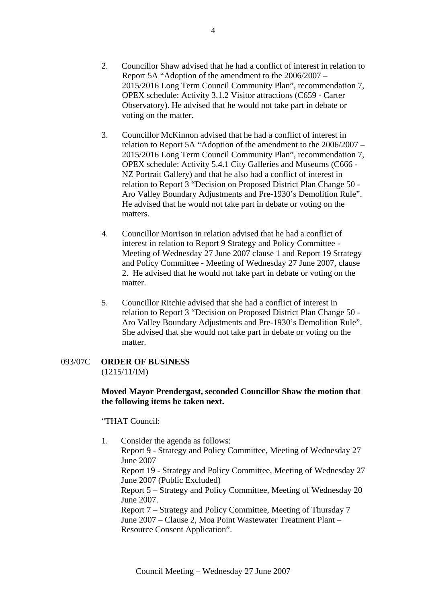- 2. Councillor Shaw advised that he had a conflict of interest in relation to Report 5A "Adoption of the amendment to the 2006/2007 – 2015/2016 Long Term Council Community Plan", recommendation 7, OPEX schedule: Activity 3.1.2 Visitor attractions (C659 - Carter Observatory). He advised that he would not take part in debate or voting on the matter.
- 3. Councillor McKinnon advised that he had a conflict of interest in relation to Report 5A "Adoption of the amendment to the 2006/2007 – 2015/2016 Long Term Council Community Plan", recommendation 7, OPEX schedule: Activity 5.4.1 City Galleries and Museums (C666 - NZ Portrait Gallery) and that he also had a conflict of interest in relation to Report 3 "Decision on Proposed District Plan Change 50 - Aro Valley Boundary Adjustments and Pre-1930's Demolition Rule". He advised that he would not take part in debate or voting on the matters.
- 4. Councillor Morrison in relation advised that he had a conflict of interest in relation to Report 9 Strategy and Policy Committee - Meeting of Wednesday 27 June 2007 clause 1 and Report 19 Strategy and Policy Committee - Meeting of Wednesday 27 June 2007, clause 2. He advised that he would not take part in debate or voting on the matter.
- 5. Councillor Ritchie advised that she had a conflict of interest in relation to Report 3 "Decision on Proposed District Plan Change 50 - Aro Valley Boundary Adjustments and Pre-1930's Demolition Rule". She advised that she would not take part in debate or voting on the matter.

# 093/07C **ORDER OF BUSINESS** (1215/11/IM)

# **Moved Mayor Prendergast, seconded Councillor Shaw the motion that the following items be taken next.**

"THAT Council:

1. Consider the agenda as follows: Report 9 - Strategy and Policy Committee, Meeting of Wednesday 27 June 2007 Report 19 - Strategy and Policy Committee, Meeting of Wednesday 27 June 2007 (Public Excluded) Report 5 – Strategy and Policy Committee, Meeting of Wednesday 20 June 2007. Report 7 – Strategy and Policy Committee, Meeting of Thursday 7 June 2007 – Clause 2, Moa Point Wastewater Treatment Plant – Resource Consent Application".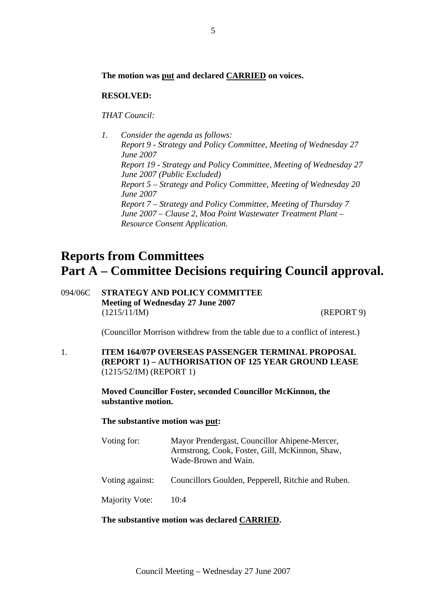#### **The motion was put and declared CARRIED on voices.**

#### **RESOLVED:**

*THAT Council:* 

*1. Consider the agenda as follows: Report 9 - Strategy and Policy Committee, Meeting of Wednesday 27 June 2007 Report 19 - Strategy and Policy Committee, Meeting of Wednesday 27 June 2007 (Public Excluded) Report 5 – Strategy and Policy Committee, Meeting of Wednesday 20 June 2007 Report 7 – Strategy and Policy Committee, Meeting of Thursday 7 June 2007 – Clause 2, Moa Point Wastewater Treatment Plant – Resource Consent Application.*

# **Reports from Committees Part A – Committee Decisions requiring Council approval.**

094/06C **STRATEGY AND POLICY COMMITTEE Meeting of Wednesday 27 June 2007**  (1215/11/IM) (REPORT 9)

(Councillor Morrison withdrew from the table due to a conflict of interest.)

1. **ITEM 164/07P OVERSEAS PASSENGER TERMINAL PROPOSAL (REPORT 1) – AUTHORISATION OF 125 YEAR GROUND LEASE** (1215/52/IM) (REPORT 1)

> **Moved Councillor Foster, seconded Councillor McKinnon, the substantive motion.**

**The substantive motion was put:** 

| Voting for:     | Mayor Prendergast, Councillor Ahipene-Mercer,<br>Armstrong, Cook, Foster, Gill, McKinnon, Shaw,<br>Wade-Brown and Wain. |
|-----------------|-------------------------------------------------------------------------------------------------------------------------|
| Voting against: | Councillors Goulden, Pepperell, Ritchie and Ruben.                                                                      |
| Majority Vote:  | 10:4                                                                                                                    |

#### **The substantive motion was declared CARRIED.**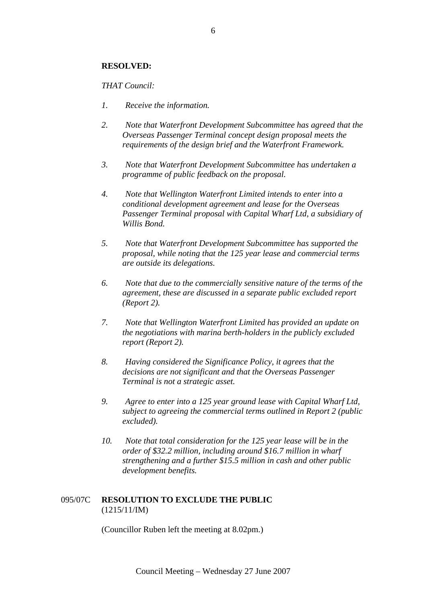#### **RESOLVED:**

#### *THAT Council:*

- *1. Receive the information.*
- *2. Note that Waterfront Development Subcommittee has agreed that the Overseas Passenger Terminal concept design proposal meets the requirements of the design brief and the Waterfront Framework.*
- *3. Note that Waterfront Development Subcommittee has undertaken a programme of public feedback on the proposal.*
- *4. Note that Wellington Waterfront Limited intends to enter into a conditional development agreement and lease for the Overseas Passenger Terminal proposal with Capital Wharf Ltd, a subsidiary of Willis Bond.*
- *5. Note that Waterfront Development Subcommittee has supported the proposal, while noting that the 125 year lease and commercial terms are outside its delegations.*
- *6. Note that due to the commercially sensitive nature of the terms of the agreement, these are discussed in a separate public excluded report (Report 2).*
- *7. Note that Wellington Waterfront Limited has provided an update on the negotiations with marina berth-holders in the publicly excluded report (Report 2).*
- *8. Having considered the Significance Policy, it agrees that the decisions are not significant and that the Overseas Passenger Terminal is not a strategic asset.*
- *9. Agree to enter into a 125 year ground lease with Capital Wharf Ltd, subject to agreeing the commercial terms outlined in Report 2 (public excluded).*
- *10. Note that total consideration for the 125 year lease will be in the order of \$32.2 million, including around \$16.7 million in wharf strengthening and a further \$15.5 million in cash and other public development benefits.*

#### 095/07C **RESOLUTION TO EXCLUDE THE PUBLIC**  (1215/11/IM)

(Councillor Ruben left the meeting at 8.02pm.)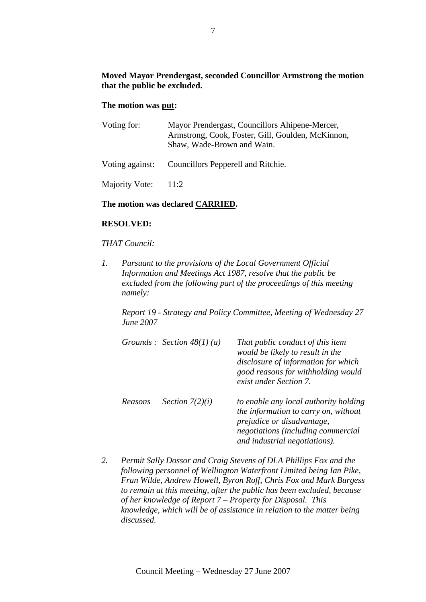# **Moved Mayor Prendergast, seconded Councillor Armstrong the motion that the public be excluded.**

#### **The motion was put:**

| Mayor Prendergast, Councillors Ahipene-Mercer,<br>Armstrong, Cook, Foster, Gill, Goulden, McKinnon,<br>Shaw, Wade-Brown and Wain. |
|-----------------------------------------------------------------------------------------------------------------------------------|
| Voting against: Councillors Pepperell and Ritchie.                                                                                |
| 11:2                                                                                                                              |
|                                                                                                                                   |

#### **The motion was declared CARRIED.**

#### **RESOLVED:**

#### *THAT Council:*

*1. Pursuant to the provisions of the Local Government Official Information and Meetings Act 1987, resolve that the public be excluded from the following part of the proceedings of this meeting namely:* 

*Report 19 - Strategy and Policy Committee, Meeting of Wednesday 27 June 2007* 

|         | Grounds : Section $48(1)(a)$ | That public conduct of this item<br>would be likely to result in the<br>disclosure of information for which<br>good reasons for withholding would<br>exist under Section 7.        |
|---------|------------------------------|------------------------------------------------------------------------------------------------------------------------------------------------------------------------------------|
| Reasons | Section $7(2)(i)$            | to enable any local authority holding<br>the information to carry on, without<br>prejudice or disadvantage,<br>negotiations (including commercial<br>and industrial negotiations). |

*2. Permit Sally Dossor and Craig Stevens of DLA Phillips Fox and the following personnel of Wellington Waterfront Limited being Ian Pike, Fran Wilde, Andrew Howell, Byron Roff, Chris Fox and Mark Burgess to remain at this meeting, after the public has been excluded, because of her knowledge of Report 7 – Property for Disposal. This knowledge, which will be of assistance in relation to the matter being discussed.*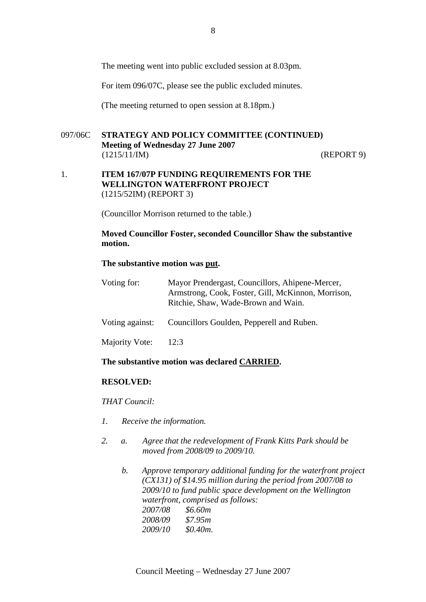The meeting went into public excluded session at 8.03pm.

For item 096/07C, please see the public excluded minutes.

(The meeting returned to open session at 8.18pm.)

# 097/06C **STRATEGY AND POLICY COMMITTEE (CONTINUED) Meeting of Wednesday 27 June 2007**  (1215/11/IM) (REPORT 9)

#### 1. **ITEM 167/07P FUNDING REQUIREMENTS FOR THE WELLINGTON WATERFRONT PROJECT** (1215/52IM) (REPORT 3)

(Councillor Morrison returned to the table.)

# **Moved Councillor Foster, seconded Councillor Shaw the substantive motion.**

#### **The substantive motion was put.**

| Voting for:     | Mayor Prendergast, Councillors, Ahipene-Mercer,<br>Armstrong, Cook, Foster, Gill, McKinnon, Morrison,<br>Ritchie, Shaw, Wade-Brown and Wain. |
|-----------------|----------------------------------------------------------------------------------------------------------------------------------------------|
| Voting against: | Councillors Goulden, Pepperell and Ruben.                                                                                                    |
| Majority Vote:  | 12:3                                                                                                                                         |

#### **The substantive motion was declared CARRIED.**

#### **RESOLVED:**

*THAT Council:*

- *1. Receive the information.*
- *2. a. Agree that the redevelopment of Frank Kitts Park should be moved from 2008/09 to 2009/10.* 
	- *b. Approve temporary additional funding for the waterfront project (CX131) of \$14.95 million during the period from 2007/08 to 2009/10 to fund public space development on the Wellington waterfront, comprised as follows: 2007/08 \$6.60m 2008/09 \$7.95m 2009/10 \$0.40m.*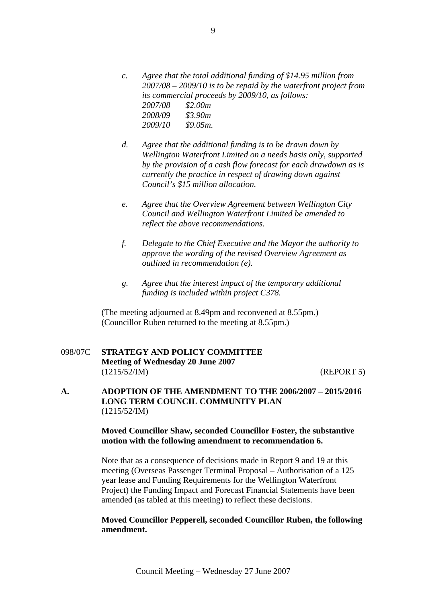- *c. Agree that the total additional funding of \$14.95 million from 2007/08 – 2009/10 is to be repaid by the waterfront project from its commercial proceeds by 2009/10, as follows: 2007/08 \$2.00m 2008/09 \$3.90m 2009/10 \$9.05m.*
- *d. Agree that the additional funding is to be drawn down by Wellington Waterfront Limited on a needs basis only, supported by the provision of a cash flow forecast for each drawdown as is currently the practice in respect of drawing down against Council's \$15 million allocation.*
- *e. Agree that the Overview Agreement between Wellington City Council and Wellington Waterfront Limited be amended to reflect the above recommendations.*
- *f. Delegate to the Chief Executive and the Mayor the authority to approve the wording of the revised Overview Agreement as outlined in recommendation (e).*
- *g. Agree that the interest impact of the temporary additional funding is included within project C378.*

(The meeting adjourned at 8.49pm and reconvened at 8.55pm.) (Councillor Ruben returned to the meeting at 8.55pm.)

# 098/07C **STRATEGY AND POLICY COMMITTEE Meeting of Wednesday 20 June 2007**  (1215/52/IM) (REPORT 5)

**A. ADOPTION OF THE AMENDMENT TO THE 2006/2007 – 2015/2016 LONG TERM COUNCIL COMMUNITY PLAN**  (1215/52/IM)

# **Moved Councillor Shaw, seconded Councillor Foster, the substantive motion with the following amendment to recommendation 6.**

Note that as a consequence of decisions made in Report 9 and 19 at this meeting (Overseas Passenger Terminal Proposal – Authorisation of a 125 year lease and Funding Requirements for the Wellington Waterfront Project) the Funding Impact and Forecast Financial Statements have been amended (as tabled at this meeting) to reflect these decisions.

#### **Moved Councillor Pepperell, seconded Councillor Ruben, the following amendment.**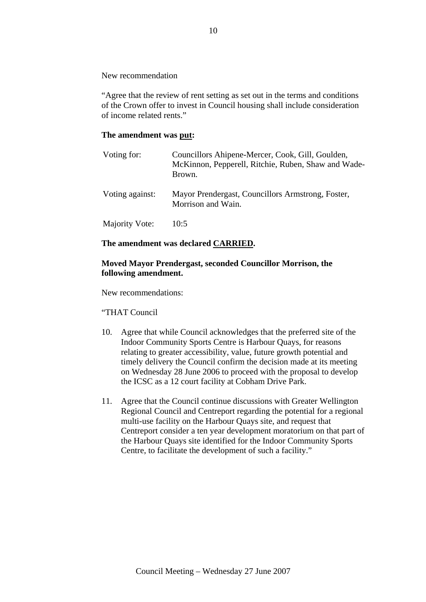New recommendation

"Agree that the review of rent setting as set out in the terms and conditions of the Crown offer to invest in Council housing shall include consideration of income related rents."

# **The amendment was put:**

| Voting for:     | Councillors Ahipene-Mercer, Cook, Gill, Goulden,<br>McKinnon, Pepperell, Ritchie, Ruben, Shaw and Wade-<br>Brown. |
|-----------------|-------------------------------------------------------------------------------------------------------------------|
| Voting against: | Mayor Prendergast, Councillors Armstrong, Foster,<br>Morrison and Wain.                                           |
| Majority Vote:  | 10:5                                                                                                              |

# **The amendment was declared CARRIED.**

# **Moved Mayor Prendergast, seconded Councillor Morrison, the following amendment.**

New recommendations:

"THAT Council

- 10. Agree that while Council acknowledges that the preferred site of the Indoor Community Sports Centre is Harbour Quays, for reasons relating to greater accessibility, value, future growth potential and timely delivery the Council confirm the decision made at its meeting on Wednesday 28 June 2006 to proceed with the proposal to develop the ICSC as a 12 court facility at Cobham Drive Park.
- 11. Agree that the Council continue discussions with Greater Wellington Regional Council and Centreport regarding the potential for a regional multi-use facility on the Harbour Quays site, and request that Centreport consider a ten year development moratorium on that part of the Harbour Quays site identified for the Indoor Community Sports Centre, to facilitate the development of such a facility."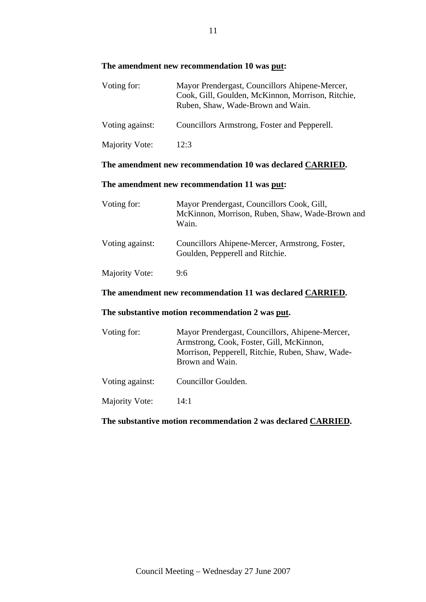# **The amendment new recommendation 10 was put:**

| Voting for:     | Mayor Prendergast, Councillors Ahipene-Mercer,<br>Cook, Gill, Goulden, McKinnon, Morrison, Ritchie,<br>Ruben, Shaw, Wade-Brown and Wain. |
|-----------------|------------------------------------------------------------------------------------------------------------------------------------------|
| Voting against: | Councillors Armstrong, Foster and Pepperell.                                                                                             |
| Majority Vote:  | 12:3                                                                                                                                     |

# **The amendment new recommendation 10 was declared CARRIED.**

# **The amendment new recommendation 11 was put:**

| Voting for:     | Mayor Prendergast, Councillors Cook, Gill,<br>McKinnon, Morrison, Ruben, Shaw, Wade-Brown and<br>Wain. |
|-----------------|--------------------------------------------------------------------------------------------------------|
| Voting against: | Councillors Ahipene-Mercer, Armstrong, Foster,<br>Goulden, Pepperell and Ritchie.                      |
| Majority Vote:  | 9:6                                                                                                    |

# **The amendment new recommendation 11 was declared CARRIED.**

# **The substantive motion recommendation 2 was put.**

| Voting for:     | Mayor Prendergast, Councillors, Ahipene-Mercer,<br>Armstrong, Cook, Foster, Gill, McKinnon,<br>Morrison, Pepperell, Ritchie, Ruben, Shaw, Wade-<br>Brown and Wain. |
|-----------------|--------------------------------------------------------------------------------------------------------------------------------------------------------------------|
| Voting against: | Councillor Goulden.                                                                                                                                                |
| Majority Vote:  | 14:1                                                                                                                                                               |

# **The substantive motion recommendation 2 was declared CARRIED.**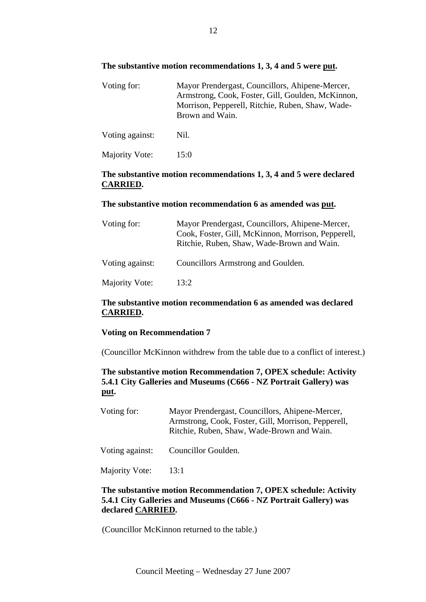# **The substantive motion recommendations 1, 3, 4 and 5 were put.**

| Voting for:     | Mayor Prendergast, Councillors, Ahipene-Mercer,<br>Armstrong, Cook, Foster, Gill, Goulden, McKinnon,<br>Morrison, Pepperell, Ritchie, Ruben, Shaw, Wade-<br>Brown and Wain. |
|-----------------|-----------------------------------------------------------------------------------------------------------------------------------------------------------------------------|
| Voting against: | Nil.                                                                                                                                                                        |
| Majority Vote:  | 15:0                                                                                                                                                                        |

# **The substantive motion recommendations 1, 3, 4 and 5 were declared CARRIED.**

#### **The substantive motion recommendation 6 as amended was put.**

| Voting for:     | Mayor Prendergast, Councillors, Ahipene-Mercer,<br>Cook, Foster, Gill, McKinnon, Morrison, Pepperell,<br>Ritchie, Ruben, Shaw, Wade-Brown and Wain. |
|-----------------|-----------------------------------------------------------------------------------------------------------------------------------------------------|
| Voting against: | Councillors Armstrong and Goulden.                                                                                                                  |
| Majority Vote:  | 13:2                                                                                                                                                |

# **The substantive motion recommendation 6 as amended was declared CARRIED.**

#### **Voting on Recommendation 7**

(Councillor McKinnon withdrew from the table due to a conflict of interest.)

# **The substantive motion Recommendation 7, OPEX schedule: Activity 5.4.1 City Galleries and Museums (C666 - NZ Portrait Gallery) was put.**

| Voting for:     | Mayor Prendergast, Councillors, Ahipene-Mercer,<br>Armstrong, Cook, Foster, Gill, Morrison, Pepperell,<br>Ritchie, Ruben, Shaw, Wade-Brown and Wain. |
|-----------------|------------------------------------------------------------------------------------------------------------------------------------------------------|
| Voting against: | Councillor Goulden.                                                                                                                                  |
| Majority Vote:  | -13:1                                                                                                                                                |

# **The substantive motion Recommendation 7, OPEX schedule: Activity 5.4.1 City Galleries and Museums (C666 - NZ Portrait Gallery) was declared CARRIED.**

(Councillor McKinnon returned to the table.)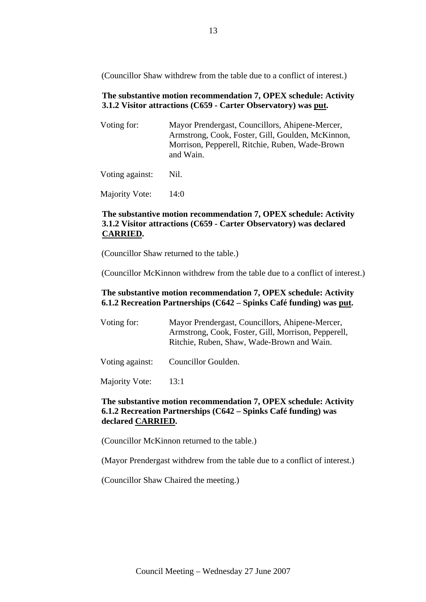(Councillor Shaw withdrew from the table due to a conflict of interest.)

# **The substantive motion recommendation 7, OPEX schedule: Activity 3.1.2 Visitor attractions (C659 - Carter Observatory) was put.**

| Voting for:     | Mayor Prendergast, Councillors, Ahipene-Mercer,<br>Armstrong, Cook, Foster, Gill, Goulden, McKinnon,<br>Morrison, Pepperell, Ritchie, Ruben, Wade-Brown<br>and Wain. |
|-----------------|----------------------------------------------------------------------------------------------------------------------------------------------------------------------|
| Voting against: | Nil.                                                                                                                                                                 |

Majority Vote: 14:0

# **The substantive motion recommendation 7, OPEX schedule: Activity 3.1.2 Visitor attractions (C659 - Carter Observatory) was declared CARRIED.**

(Councillor Shaw returned to the table.)

(Councillor McKinnon withdrew from the table due to a conflict of interest.)

# **The substantive motion recommendation 7, OPEX schedule: Activity 6.1.2 Recreation Partnerships (C642 – Spinks Café funding) was put.**

| Voting for: | Mayor Prendergast, Councillors, Ahipene-Mercer,     |
|-------------|-----------------------------------------------------|
|             | Armstrong, Cook, Foster, Gill, Morrison, Pepperell, |
|             | Ritchie, Ruben, Shaw, Wade-Brown and Wain.          |
|             |                                                     |

Voting against: Councillor Goulden.

Majority Vote: 13:1

# **The substantive motion recommendation 7, OPEX schedule: Activity 6.1.2 Recreation Partnerships (C642 – Spinks Café funding) was declared CARRIED.**

(Councillor McKinnon returned to the table.)

(Mayor Prendergast withdrew from the table due to a conflict of interest.)

(Councillor Shaw Chaired the meeting.)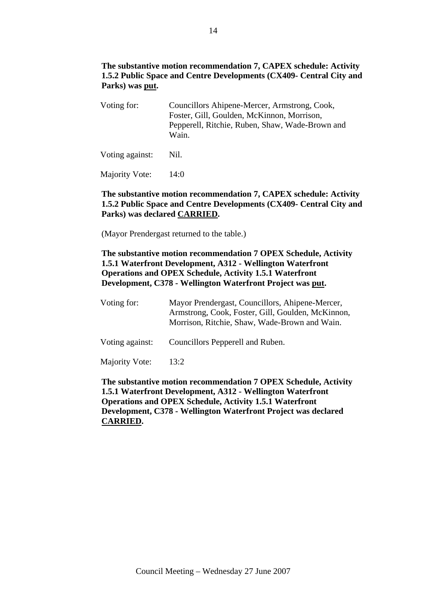# **The substantive motion recommendation 7, CAPEX schedule: Activity 1.5.2 Public Space and Centre Developments (CX409- Central City and Parks) was put.**

Voting for: Councillors Ahipene-Mercer, Armstrong, Cook, Foster, Gill, Goulden, McKinnon, Morrison, Pepperell, Ritchie, Ruben, Shaw, Wade-Brown and Wain.

Voting against: Nil.

Majority Vote: 14:0

# **The substantive motion recommendation 7, CAPEX schedule: Activity 1.5.2 Public Space and Centre Developments (CX409- Central City and Parks) was declared CARRIED.**

(Mayor Prendergast returned to the table.)

# **The substantive motion recommendation 7 OPEX Schedule, Activity 1.5.1 Waterfront Development, A312 - Wellington Waterfront Operations and OPEX Schedule, Activity 1.5.1 Waterfront Development, C378 - Wellington Waterfront Project was put.**

| Voting for:     | Mayor Prendergast, Councillors, Ahipene-Mercer,<br>Armstrong, Cook, Foster, Gill, Goulden, McKinnon,<br>Morrison, Ritchie, Shaw, Wade-Brown and Wain. |
|-----------------|-------------------------------------------------------------------------------------------------------------------------------------------------------|
| Voting against: | Councillors Pepperell and Ruben.                                                                                                                      |
| Majority Vote:  | 13:2                                                                                                                                                  |

**The substantive motion recommendation 7 OPEX Schedule, Activity 1.5.1 Waterfront Development, A312 - Wellington Waterfront Operations and OPEX Schedule, Activity 1.5.1 Waterfront Development, C378 - Wellington Waterfront Project was declared CARRIED.**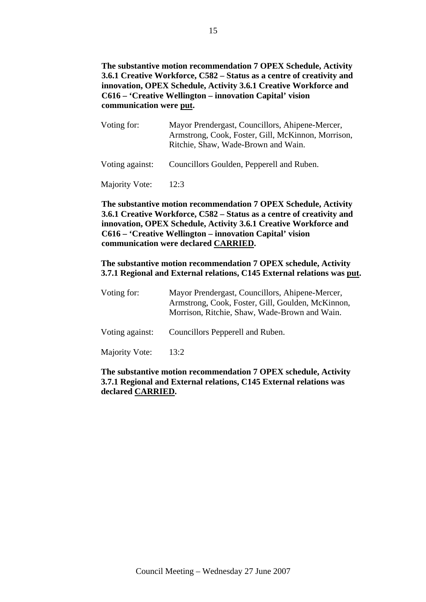**The substantive motion recommendation 7 OPEX Schedule, Activity 3.6.1 Creative Workforce, C582 – Status as a centre of creativity and innovation, OPEX Schedule, Activity 3.6.1 Creative Workforce and C616 – 'Creative Wellington – innovation Capital' vision communication were put.** 

| Voting for:     | Mayor Prendergast, Councillors, Ahipene-Mercer,<br>Armstrong, Cook, Foster, Gill, McKinnon, Morrison,<br>Ritchie, Shaw, Wade-Brown and Wain. |
|-----------------|----------------------------------------------------------------------------------------------------------------------------------------------|
| Voting against: | Councillors Goulden, Pepperell and Ruben.                                                                                                    |
| Majority Vote:  | 12:3                                                                                                                                         |

**The substantive motion recommendation 7 OPEX Schedule, Activity 3.6.1 Creative Workforce, C582 – Status as a centre of creativity and innovation, OPEX Schedule, Activity 3.6.1 Creative Workforce and C616 – 'Creative Wellington – innovation Capital' vision communication were declared CARRIED.** 

#### **The substantive motion recommendation 7 OPEX schedule, Activity 3.7.1 Regional and External relations, C145 External relations was put.**

| Voting for:     | Mayor Prendergast, Councillors, Ahipene-Mercer,<br>Armstrong, Cook, Foster, Gill, Goulden, McKinnon,<br>Morrison, Ritchie, Shaw, Wade-Brown and Wain. |
|-----------------|-------------------------------------------------------------------------------------------------------------------------------------------------------|
| Voting against: | Councillors Pepperell and Ruben.                                                                                                                      |
| Majority Vote:  | 13:2                                                                                                                                                  |

# **The substantive motion recommendation 7 OPEX schedule, Activity 3.7.1 Regional and External relations, C145 External relations was declared CARRIED.**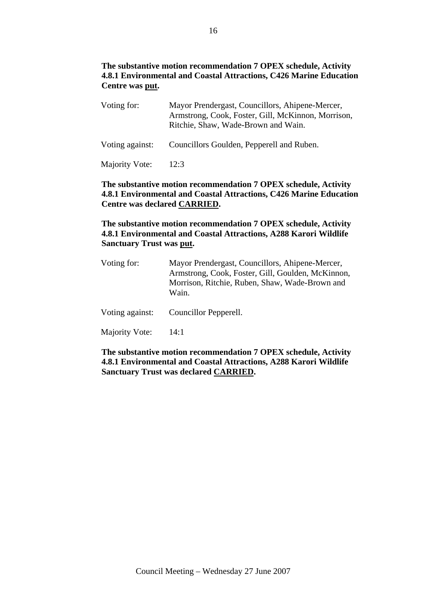# **The substantive motion recommendation 7 OPEX schedule, Activity 4.8.1 Environmental and Coastal Attractions, C426 Marine Education Centre was put.**

| Voting for:     | Mayor Prendergast, Councillors, Ahipene-Mercer,<br>Armstrong, Cook, Foster, Gill, McKinnon, Morrison,<br>Ritchie, Shaw, Wade-Brown and Wain. |
|-----------------|----------------------------------------------------------------------------------------------------------------------------------------------|
| Voting against: | Councillors Goulden, Pepperell and Ruben.                                                                                                    |
| Majority Vote:  | 12:3                                                                                                                                         |

# **The substantive motion recommendation 7 OPEX schedule, Activity 4.8.1 Environmental and Coastal Attractions, C426 Marine Education Centre was declared CARRIED.**

# **The substantive motion recommendation 7 OPEX schedule, Activity 4.8.1 Environmental and Coastal Attractions, A288 Karori Wildlife Sanctuary Trust was put.**

| Voting for:     | Mayor Prendergast, Councillors, Ahipene-Mercer,<br>Armstrong, Cook, Foster, Gill, Goulden, McKinnon,<br>Morrison, Ritchie, Ruben, Shaw, Wade-Brown and<br>Wain. |
|-----------------|-----------------------------------------------------------------------------------------------------------------------------------------------------------------|
| Voting against: | Councillor Pepperell.                                                                                                                                           |
| Majority Vote:  | 14:1                                                                                                                                                            |

# **The substantive motion recommendation 7 OPEX schedule, Activity 4.8.1 Environmental and Coastal Attractions, A288 Karori Wildlife Sanctuary Trust was declared CARRIED.**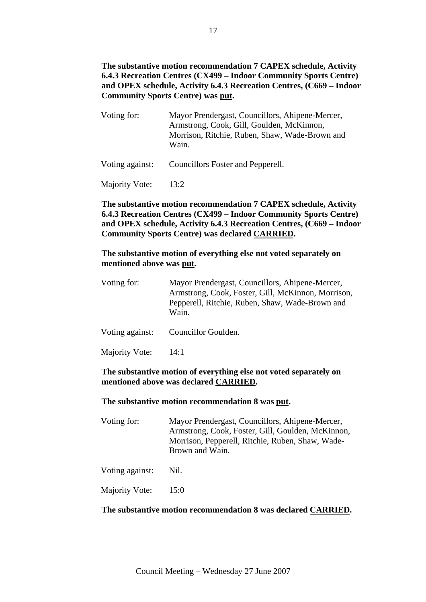# **The substantive motion recommendation 7 CAPEX schedule, Activity 6.4.3 Recreation Centres (CX499 – Indoor Community Sports Centre) and OPEX schedule, Activity 6.4.3 Recreation Centres, (C669 – Indoor Community Sports Centre) was put.**

| Voting for:     | Mayor Prendergast, Councillors, Ahipene-Mercer,<br>Armstrong, Cook, Gill, Goulden, McKinnon,<br>Morrison, Ritchie, Ruben, Shaw, Wade-Brown and<br>Wain. |
|-----------------|---------------------------------------------------------------------------------------------------------------------------------------------------------|
| Voting against: | Councillors Foster and Pepperell.                                                                                                                       |
| Majority Vote:  | 13:2                                                                                                                                                    |

# **The substantive motion recommendation 7 CAPEX schedule, Activity 6.4.3 Recreation Centres (CX499 – Indoor Community Sports Centre) and OPEX schedule, Activity 6.4.3 Recreation Centres, (C669 – Indoor Community Sports Centre) was declared CARRIED.**

# **The substantive motion of everything else not voted separately on mentioned above was put.**

| Voting for:     | Mayor Prendergast, Councillors, Ahipene-Mercer,<br>Armstrong, Cook, Foster, Gill, McKinnon, Morrison,<br>Pepperell, Ritchie, Ruben, Shaw, Wade-Brown and<br>Wain. |
|-----------------|-------------------------------------------------------------------------------------------------------------------------------------------------------------------|
| Voting against: | Councillor Goulden.                                                                                                                                               |
| Majority Vote:  | 14:1                                                                                                                                                              |

# **The substantive motion of everything else not voted separately on mentioned above was declared CARRIED.**

# **The substantive motion recommendation 8 was put.**

| Voting for:     | Mayor Prendergast, Councillors, Ahipene-Mercer,<br>Armstrong, Cook, Foster, Gill, Goulden, McKinnon,<br>Morrison, Pepperell, Ritchie, Ruben, Shaw, Wade-<br>Brown and Wain. |
|-----------------|-----------------------------------------------------------------------------------------------------------------------------------------------------------------------------|
| Voting against: | Nil.                                                                                                                                                                        |
| Majority Vote:  | 15:0                                                                                                                                                                        |

# **The substantive motion recommendation 8 was declared CARRIED.**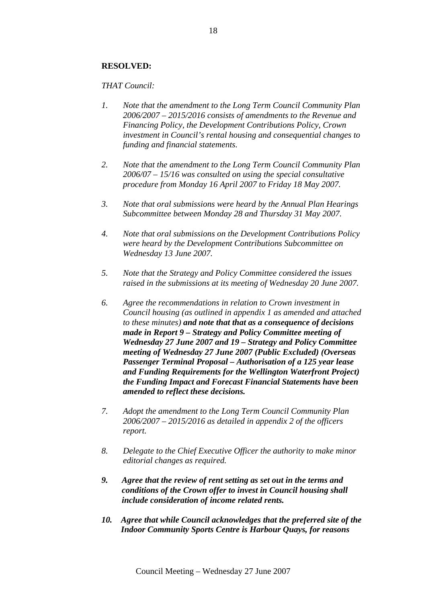# **RESOLVED:**

# *THAT Council:*

- *1. Note that the amendment to the Long Term Council Community Plan 2006/2007 – 2015/2016 consists of amendments to the Revenue and Financing Policy, the Development Contributions Policy, Crown investment in Council's rental housing and consequential changes to funding and financial statements.*
- *2. Note that the amendment to the Long Term Council Community Plan 2006/07 – 15/16 was consulted on using the special consultative procedure from Monday 16 April 2007 to Friday 18 May 2007.*
- *3. Note that oral submissions were heard by the Annual Plan Hearings Subcommittee between Monday 28 and Thursday 31 May 2007.*
- *4. Note that oral submissions on the Development Contributions Policy were heard by the Development Contributions Subcommittee on Wednesday 13 June 2007.*
- *5. Note that the Strategy and Policy Committee considered the issues raised in the submissions at its meeting of Wednesday 20 June 2007.*
- *6. Agree the recommendations in relation to Crown investment in Council housing (as outlined in appendix 1 as amended and attached to these minutes) and note that that as a consequence of decisions made in Report 9 – Strategy and Policy Committee meeting of Wednesday 27 June 2007 and 19 – Strategy and Policy Committee meeting of Wednesday 27 June 2007 (Public Excluded) (Overseas Passenger Terminal Proposal – Authorisation of a 125 year lease and Funding Requirements for the Wellington Waterfront Project) the Funding Impact and Forecast Financial Statements have been amended to reflect these decisions.*
- *7. Adopt the amendment to the Long Term Council Community Plan 2006/2007 – 2015/2016 as detailed in appendix 2 of the officers report.*
- *8. Delegate to the Chief Executive Officer the authority to make minor editorial changes as required.*
- *9. Agree that the review of rent setting as set out in the terms and conditions of the Crown offer to invest in Council housing shall include consideration of income related rents.*
- *10. Agree that while Council acknowledges that the preferred site of the Indoor Community Sports Centre is Harbour Quays, for reasons*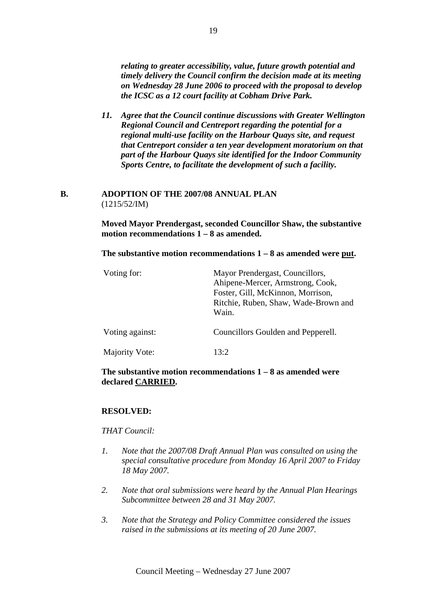*relating to greater accessibility, value, future growth potential and timely delivery the Council confirm the decision made at its meeting on Wednesday 28 June 2006 to proceed with the proposal to develop the ICSC as a 12 court facility at Cobham Drive Park.* 

*11. Agree that the Council continue discussions with Greater Wellington Regional Council and Centreport regarding the potential for a regional multi-use facility on the Harbour Quays site, and request that Centreport consider a ten year development moratorium on that part of the Harbour Quays site identified for the Indoor Community Sports Centre, to facilitate the development of such a facility.*

### **B. ADOPTION OF THE 2007/08 ANNUAL PLAN**  (1215/52/IM)

**Moved Mayor Prendergast, seconded Councillor Shaw, the substantive motion recommendations 1 – 8 as amended.** 

**The substantive motion recommendations 1 – 8 as amended were put.** 

| Voting for:     | Mayor Prendergast, Councillors,<br>Ahipene-Mercer, Armstrong, Cook,<br>Foster, Gill, McKinnon, Morrison,<br>Ritchie, Ruben, Shaw, Wade-Brown and<br>Wain. |
|-----------------|-----------------------------------------------------------------------------------------------------------------------------------------------------------|
| Voting against: | Councillors Goulden and Pepperell.                                                                                                                        |
| Majority Vote:  | 13:2                                                                                                                                                      |

# **The substantive motion recommendations 1 – 8 as amended were declared CARRIED.**

# **RESOLVED:**

*THAT Council:* 

- *1. Note that the 2007/08 Draft Annual Plan was consulted on using the special consultative procedure from Monday 16 April 2007 to Friday 18 May 2007.*
- *2. Note that oral submissions were heard by the Annual Plan Hearings Subcommittee between 28 and 31 May 2007.*
- *3. Note that the Strategy and Policy Committee considered the issues raised in the submissions at its meeting of 20 June 2007.*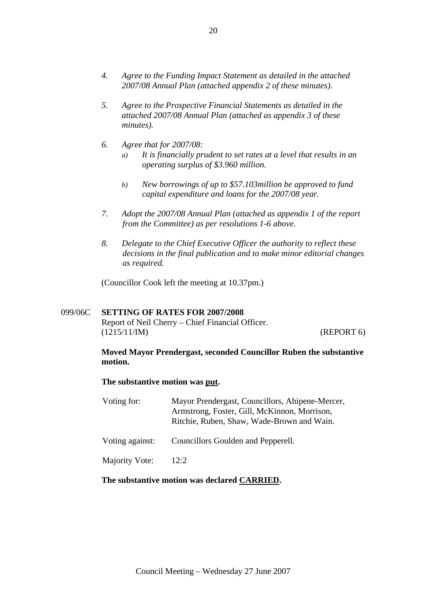- *4. Agree to the Funding Impact Statement as detailed in the attached 2007/08 Annual Plan (attached appendix 2 of these minutes).*
- *5. Agree to the Prospective Financial Statements as detailed in the attached 2007/08 Annual Plan (attached as appendix 3 of these minutes).*
- *6. Agree that for 2007/08:* 
	- *a) It is financially prudent to set rates at a level that results in an operating surplus of \$3.960 million.*
	- *b) New borrowings of up to \$57.103million be approved to fund capital expenditure and loans for the 2007/08 year.*
- *7. Adopt the 2007/08 Annual Plan (attached as appendix 1 of the report from the Committee) as per resolutions 1-6 above.*
- *8. Delegate to the Chief Executive Officer the authority to reflect these decisions in the final publication and to make minor editorial changes as required.*

(Councillor Cook left the meeting at 10.37pm.)

# 099/06C **SETTING OF RATES FOR 2007/2008**

Report of Neil Cherry – Chief Financial Officer. (1215/11/IM) (REPORT 6)

# **Moved Mayor Prendergast, seconded Councillor Ruben the substantive motion.**

#### **The substantive motion was put.**

| Voting for:           | Mayor Prendergast, Councillors, Ahipene-Mercer,<br>Armstrong, Foster, Gill, McKinnon, Morrison,<br>Ritchie, Ruben, Shaw, Wade-Brown and Wain. |
|-----------------------|-----------------------------------------------------------------------------------------------------------------------------------------------|
| Voting against:       | Councillors Goulden and Pepperell.                                                                                                            |
| <b>Majority Vote:</b> | 12:2                                                                                                                                          |

#### **The substantive motion was declared CARRIED.**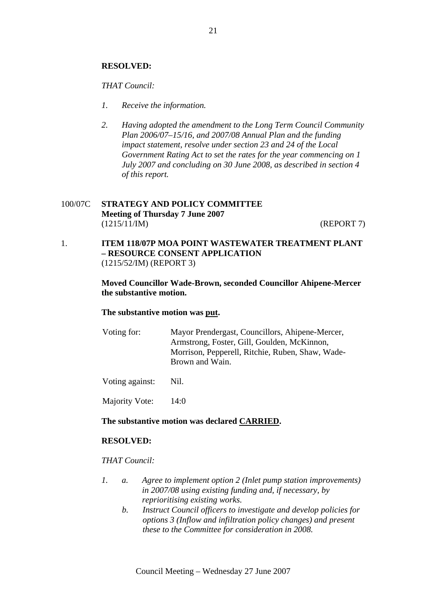#### **RESOLVED:**

#### *THAT Council:*

- *1. Receive the information.*
- *2. Having adopted the amendment to the Long Term Council Community Plan 2006/07–15/16, and 2007/08 Annual Plan and the funding impact statement, resolve under section 23 and 24 of the Local Government Rating Act to set the rates for the year commencing on 1 July 2007 and concluding on 30 June 2008, as described in section 4 of this report.*

# 100/07C **STRATEGY AND POLICY COMMITTEE Meeting of Thursday 7 June 2007**  (1215/11/IM) (REPORT 7)

1. **ITEM 118/07P MOA POINT WASTEWATER TREATMENT PLANT – RESOURCE CONSENT APPLICATION** (1215/52/IM) (REPORT 3)

> **Moved Councillor Wade-Brown, seconded Councillor Ahipene-Mercer the substantive motion.**

#### **The substantive motion was put.**

Voting for: Mayor Prendergast, Councillors, Ahipene-Mercer, Armstrong, Foster, Gill, Goulden, McKinnon, Morrison, Pepperell, Ritchie, Ruben, Shaw, Wade-Brown and Wain.

Voting against: Nil.

Majority Vote: 14:0

#### **The substantive motion was declared CARRIED.**

#### **RESOLVED:**

#### *THAT Council:*

- *1. a. Agree to implement option 2 (Inlet pump station improvements) in 2007/08 using existing funding and, if necessary, by reprioritising existing works.* 
	- *b. Instruct Council officers to investigate and develop policies for options 3 (Inflow and infiltration policy changes) and present these to the Committee for consideration in 2008.*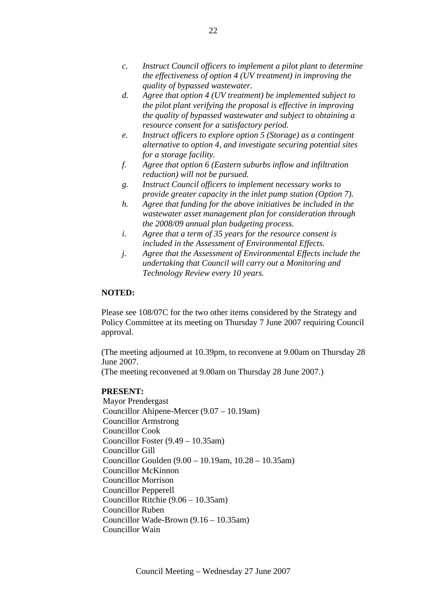- *c. Instruct Council officers to implement a pilot plant to determine the effectiveness of option 4 (UV treatment) in improving the quality of bypassed wastewater.*
- *d. Agree that option 4 (UV treatment) be implemented subject to the pilot plant verifying the proposal is effective in improving the quality of bypassed wastewater and subject to obtaining a resource consent for a satisfactory period.*
- *e. Instruct officers to explore option 5 (Storage) as a contingent alternative to option 4, and investigate securing potential sites for a storage facility.*
- *f. Agree that option 6 (Eastern suburbs inflow and infiltration reduction) will not be pursued.*
- *g. Instruct Council officers to implement necessary works to provide greater capacity in the inlet pump station (Option 7).*
- *h. Agree that funding for the above initiatives be included in the wastewater asset management plan for consideration through the 2008/09 annual plan budgeting process.*
- *i. Agree that a term of 35 years for the resource consent is included in the Assessment of Environmental Effects.*
- *j. Agree that the Assessment of Environmental Effects include the undertaking that Council will carry out a Monitoring and Technology Review every 10 years.*

# **NOTED:**

Please see 108/07C for the two other items considered by the Strategy and Policy Committee at its meeting on Thursday 7 June 2007 requiring Council approval.

(The meeting adjourned at 10.39pm, to reconvene at 9.00am on Thursday 28 June 2007.

(The meeting reconvened at 9.00am on Thursday 28 June 2007.)

#### **PRESENT:**

Mayor Prendergast Councillor Ahipene-Mercer (9.07 – 10.19am) Councillor Armstrong Councillor Cook Councillor Foster (9.49 – 10.35am) Councillor Gill Councillor Goulden (9.00 – 10.19am, 10.28 – 10.35am) Councillor McKinnon Councillor Morrison Councillor Pepperell Councillor Ritchie (9.06 – 10.35am) Councillor Ruben Councillor Wade-Brown (9.16 – 10.35am) Councillor Wain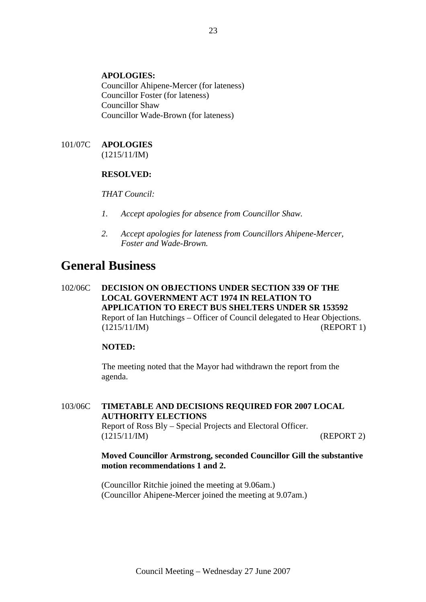# **APOLOGIES:**

Councillor Ahipene-Mercer (for lateness) Councillor Foster (for lateness) Councillor Shaw Councillor Wade-Brown (for lateness)

#### 101/07C **APOLOGIES** (1215/11/IM)

**RESOLVED:** 

# *THAT Council:*

- *1. Accept apologies for absence from Councillor Shaw.*
- *2. Accept apologies for lateness from Councillors Ahipene-Mercer, Foster and Wade-Brown.*

# **General Business**

102/06C **DECISION ON OBJECTIONS UNDER SECTION 339 OF THE LOCAL GOVERNMENT ACT 1974 IN RELATION TO APPLICATION TO ERECT BUS SHELTERS UNDER SR 153592** Report of Ian Hutchings – Officer of Council delegated to Hear Objections. (1215/11/IM) (REPORT 1)

#### **NOTED:**

The meeting noted that the Mayor had withdrawn the report from the agenda.

103/06C **TIMETABLE AND DECISIONS REQUIRED FOR 2007 LOCAL AUTHORITY ELECTIONS** Report of Ross Bly – Special Projects and Electoral Officer. (1215/11/IM) (REPORT 2)

### **Moved Councillor Armstrong, seconded Councillor Gill the substantive motion recommendations 1 and 2.**

(Councillor Ritchie joined the meeting at 9.06am.) (Councillor Ahipene-Mercer joined the meeting at 9.07am.)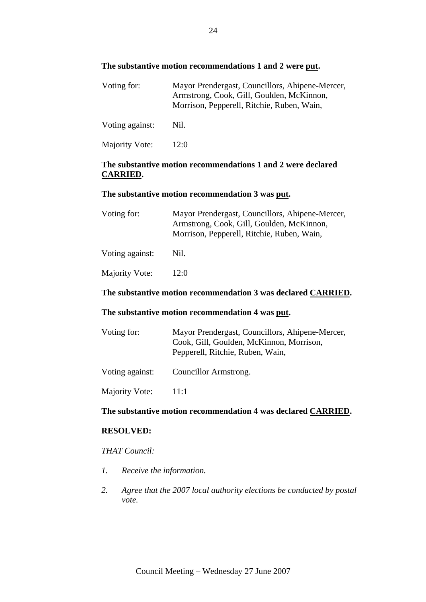# **The substantive motion recommendations 1 and 2 were put.**

| Voting for:     | Mayor Prendergast, Councillors, Ahipene-Mercer,<br>Armstrong, Cook, Gill, Goulden, McKinnon,<br>Morrison, Pepperell, Ritchie, Ruben, Wain, |
|-----------------|--------------------------------------------------------------------------------------------------------------------------------------------|
| Voting against: | Nil.                                                                                                                                       |

Majority Vote: 12:0

# **The substantive motion recommendations 1 and 2 were declared CARRIED.**

#### **The substantive motion recommendation 3 was put.**

| Voting for:     | Mayor Prendergast, Councillors, Ahipene-Mercer,<br>Armstrong, Cook, Gill, Goulden, McKinnon,<br>Morrison, Pepperell, Ritchie, Ruben, Wain, |
|-----------------|--------------------------------------------------------------------------------------------------------------------------------------------|
| Voting against: | Nil.                                                                                                                                       |
| Majority Vote:  | 12:0                                                                                                                                       |

# **The substantive motion recommendation 3 was declared CARRIED.**

# **The substantive motion recommendation 4 was put.**

| Voting for:           | Mayor Prendergast, Councillors, Ahipene-Mercer,<br>Cook, Gill, Goulden, McKinnon, Morrison,<br>Pepperell, Ritchie, Ruben, Wain, |  |
|-----------------------|---------------------------------------------------------------------------------------------------------------------------------|--|
| Voting against:       | Councillor Armstrong.                                                                                                           |  |
| <b>Majority Vote:</b> | 11:1                                                                                                                            |  |

#### **The substantive motion recommendation 4 was declared CARRIED.**

# **RESOLVED:**

# *THAT Council:*

- *1. Receive the information.*
- *2. Agree that the 2007 local authority elections be conducted by postal vote.*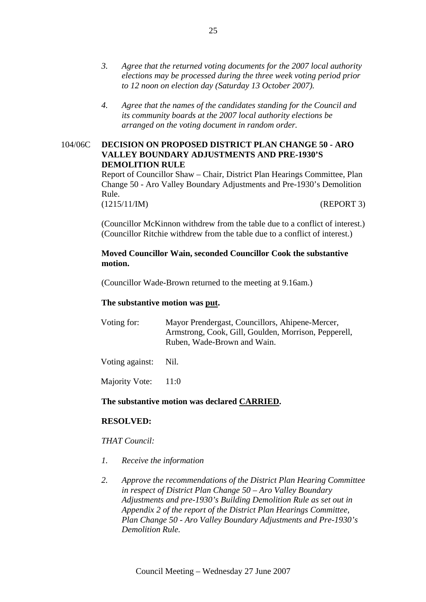- *3. Agree that the returned voting documents for the 2007 local authority elections may be processed during the three week voting period prior to 12 noon on election day (Saturday 13 October 2007).*
- *4. Agree that the names of the candidates standing for the Council and its community boards at the 2007 local authority elections be arranged on the voting document in random order.*

# 104/06C **DECISION ON PROPOSED DISTRICT PLAN CHANGE 50 - ARO VALLEY BOUNDARY ADJUSTMENTS AND PRE-1930'S DEMOLITION RULE**

Report of Councillor Shaw – Chair, District Plan Hearings Committee, Plan Change 50 - Aro Valley Boundary Adjustments and Pre-1930's Demolition Rule.

(1215/11/IM) (REPORT 3)

(Councillor McKinnon withdrew from the table due to a conflict of interest.) (Councillor Ritchie withdrew from the table due to a conflict of interest.)

# **Moved Councillor Wain, seconded Councillor Cook the substantive motion.**

(Councillor Wade-Brown returned to the meeting at 9.16am.)

# **The substantive motion was put.**

| Voting for: | Mayor Prendergast, Councillors, Ahipene-Mercer,      |  |  |  |
|-------------|------------------------------------------------------|--|--|--|
|             | Armstrong, Cook, Gill, Goulden, Morrison, Pepperell, |  |  |  |
|             | Ruben, Wade-Brown and Wain.                          |  |  |  |
|             |                                                      |  |  |  |

Voting against: Nil.

Majority Vote: 11:0

# **The substantive motion was declared CARRIED.**

# **RESOLVED:**

*THAT Council:* 

- *1. Receive the information*
- *2. Approve the recommendations of the District Plan Hearing Committee in respect of District Plan Change 50 – Aro Valley Boundary Adjustments and pre-1930's Building Demolition Rule as set out in Appendix 2 of the report of the District Plan Hearings Committee, Plan Change 50 - Aro Valley Boundary Adjustments and Pre-1930's Demolition Rule.*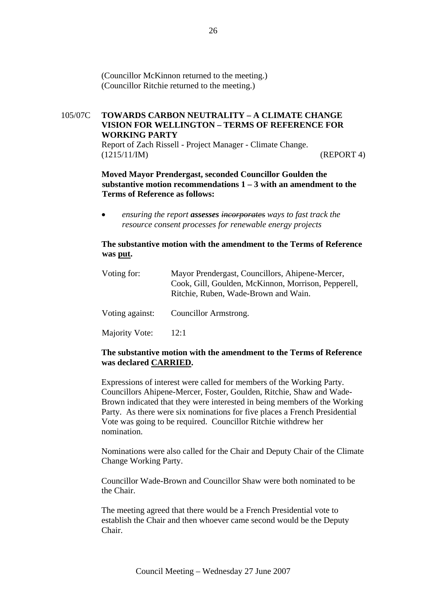(Councillor McKinnon returned to the meeting.) (Councillor Ritchie returned to the meeting.)

# 105/07C **TOWARDS CARBON NEUTRALITY – A CLIMATE CHANGE VISION FOR WELLINGTON – TERMS OF REFERENCE FOR WORKING PARTY**

Report of Zach Rissell - Project Manager - Climate Change. (1215/11/IM) (REPORT 4)

# **Moved Mayor Prendergast, seconded Councillor Goulden the substantive motion recommendations 1 – 3 with an amendment to the Terms of Reference as follows:**

• *ensuring the report assesses incorporates ways to fast track the resource consent processes for renewable energy projects*

# **The substantive motion with the amendment to the Terms of Reference was put.**

| Voting for:     | Mayor Prendergast, Councillors, Ahipene-Mercer,<br>Cook, Gill, Goulden, McKinnon, Morrison, Pepperell,<br>Ritchie, Ruben, Wade-Brown and Wain. |
|-----------------|------------------------------------------------------------------------------------------------------------------------------------------------|
| Voting against: | Councillor Armstrong.                                                                                                                          |
| Majority Vote:  | 12:1                                                                                                                                           |

# **The substantive motion with the amendment to the Terms of Reference was declared CARRIED.**

Expressions of interest were called for members of the Working Party. Councillors Ahipene-Mercer, Foster, Goulden, Ritchie, Shaw and Wade-Brown indicated that they were interested in being members of the Working Party. As there were six nominations for five places a French Presidential Vote was going to be required. Councillor Ritchie withdrew her nomination.

Nominations were also called for the Chair and Deputy Chair of the Climate Change Working Party.

Councillor Wade-Brown and Councillor Shaw were both nominated to be the Chair.

The meeting agreed that there would be a French Presidential vote to establish the Chair and then whoever came second would be the Deputy Chair.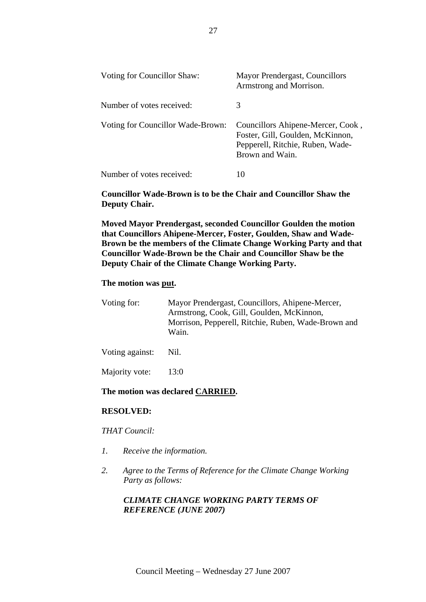| Voting for Councillor Shaw:       | Mayor Prendergast, Councillors<br>Armstrong and Morrison.                                                                    |
|-----------------------------------|------------------------------------------------------------------------------------------------------------------------------|
| Number of votes received:         | 3                                                                                                                            |
| Voting for Councillor Wade-Brown: | Councillors Ahipene-Mercer, Cook,<br>Foster, Gill, Goulden, McKinnon,<br>Pepperell, Ritchie, Ruben, Wade-<br>Brown and Wain. |
| Number of votes received:         | 10                                                                                                                           |

**Councillor Wade-Brown is to be the Chair and Councillor Shaw the Deputy Chair.** 

**Moved Mayor Prendergast, seconded Councillor Goulden the motion that Councillors Ahipene-Mercer, Foster, Goulden, Shaw and Wade-Brown be the members of the Climate Change Working Party and that Councillor Wade-Brown be the Chair and Councillor Shaw be the Deputy Chair of the Climate Change Working Party.** 

#### **The motion was put.**

| Voting for:     | Mayor Prendergast, Councillors, Ahipene-Mercer,<br>Armstrong, Cook, Gill, Goulden, McKinnon,<br>Morrison, Pepperell, Ritchie, Ruben, Wade-Brown and<br>Wain. |
|-----------------|--------------------------------------------------------------------------------------------------------------------------------------------------------------|
| Voting against: | Nil.                                                                                                                                                         |

Majority vote: 13:0

#### **The motion was declared CARRIED.**

#### **RESOLVED:**

*THAT Council:* 

- *1. Receive the information.*
- *2. Agree to the Terms of Reference for the Climate Change Working Party as follows:*

# *CLIMATE CHANGE WORKING PARTY TERMS OF REFERENCE (JUNE 2007)*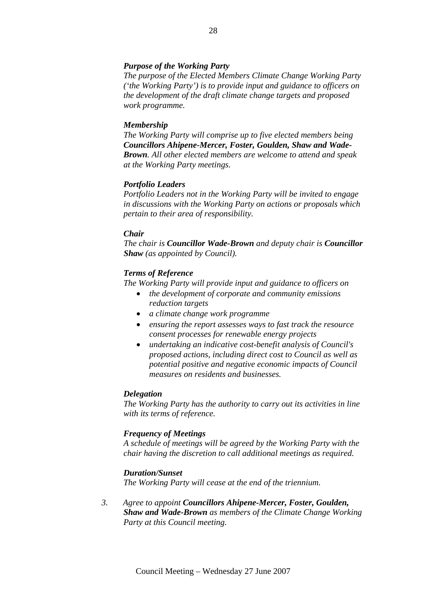### *Purpose of the Working Party*

*The purpose of the Elected Members Climate Change Working Party ('the Working Party') is to provide input and guidance to officers on the development of the draft climate change targets and proposed work programme.* 

#### *Membership*

*The Working Party will comprise up to five elected members being Councillors Ahipene-Mercer, Foster, Goulden, Shaw and Wade-Brown. All other elected members are welcome to attend and speak at the Working Party meetings.* 

#### *Portfolio Leaders*

*Portfolio Leaders not in the Working Party will be invited to engage in discussions with the Working Party on actions or proposals which pertain to their area of responsibility.* 

#### *Chair*

*The chair is Councillor Wade-Brown and deputy chair is Councillor Shaw (as appointed by Council).* 

#### *Terms of Reference*

*The Working Party will provide input and guidance to officers on* 

- *the development of corporate and community emissions reduction targets*
- *a climate change work programme*
- *ensuring the report assesses ways to fast track the resource consent processes for renewable energy projects*
- *undertaking an indicative cost-benefit analysis of Council's proposed actions, including direct cost to Council as well as potential positive and negative economic impacts of Council measures on residents and businesses.*

#### *Delegation*

*The Working Party has the authority to carry out its activities in line with its terms of reference.* 

#### *Frequency of Meetings*

*A schedule of meetings will be agreed by the Working Party with the chair having the discretion to call additional meetings as required.* 

#### *Duration/Sunset*

*The Working Party will cease at the end of the triennium.* 

*3. Agree to appoint Councillors Ahipene-Mercer, Foster, Goulden, Shaw and Wade-Brown as members of the Climate Change Working Party at this Council meeting.*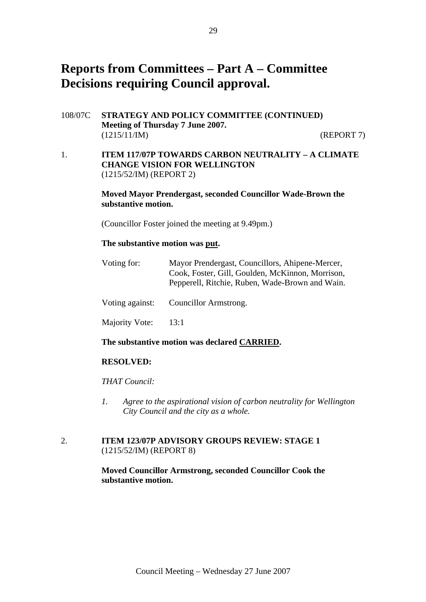# **Reports from Committees – Part A – Committee Decisions requiring Council approval.**

- 108/07C **STRATEGY AND POLICY COMMITTEE (CONTINUED) Meeting of Thursday 7 June 2007.**  (1215/11/IM) (REPORT 7)
- 1. **ITEM 117/07P TOWARDS CARBON NEUTRALITY A CLIMATE CHANGE VISION FOR WELLINGTON**  (1215/52/IM) (REPORT 2)

**Moved Mayor Prendergast, seconded Councillor Wade-Brown the substantive motion.** 

(Councillor Foster joined the meeting at 9.49pm.)

#### **The substantive motion was put.**

| Voting for:     | Mayor Prendergast, Councillors, Ahipene-Mercer,<br>Cook, Foster, Gill, Goulden, McKinnon, Morrison,<br>Pepperell, Ritchie, Ruben, Wade-Brown and Wain. |
|-----------------|--------------------------------------------------------------------------------------------------------------------------------------------------------|
| Voting against: | Councillor Armstrong.                                                                                                                                  |
| Majority Vote:  | 13:1                                                                                                                                                   |

#### **The substantive motion was declared CARRIED.**

#### **RESOLVED:**

*THAT Council:* 

*1. Agree to the aspirational vision of carbon neutrality for Wellington City Council and the city as a whole.* 

# 2. **ITEM 123/07P ADVISORY GROUPS REVIEW: STAGE 1** (1215/52/IM) (REPORT 8)

**Moved Councillor Armstrong, seconded Councillor Cook the substantive motion.**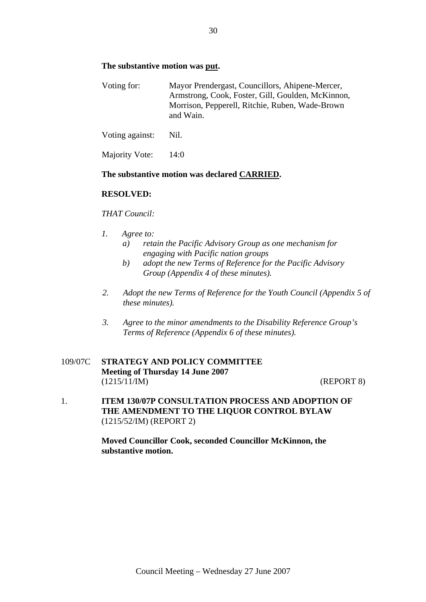# **The substantive motion was put.**

| Voting for: | Mayor Prendergast, Councillors, Ahipene-Mercer,   |
|-------------|---------------------------------------------------|
|             | Armstrong, Cook, Foster, Gill, Goulden, McKinnon, |
|             | Morrison, Pepperell, Ritchie, Ruben, Wade-Brown   |
|             | and Wain.                                         |

Voting against: Nil.

Majority Vote: 14:0

# **The substantive motion was declared CARRIED.**

# **RESOLVED:**

# *THAT Council:*

- *1. Agree to:* 
	- *a) retain the Pacific Advisory Group as one mechanism for engaging with Pacific nation groups*
	- *b) adopt the new Terms of Reference for the Pacific Advisory Group (Appendix 4 of these minutes).*
- *2. Adopt the new Terms of Reference for the Youth Council (Appendix 5 of these minutes).*
- *3. Agree to the minor amendments to the Disability Reference Group's Terms of Reference (Appendix 6 of these minutes).*

# 109/07C **STRATEGY AND POLICY COMMITTEE Meeting of Thursday 14 June 2007**  (1215/11/IM) (REPORT 8)

1. **ITEM 130/07P CONSULTATION PROCESS AND ADOPTION OF THE AMENDMENT TO THE LIQUOR CONTROL BYLAW** (1215/52/IM) (REPORT 2)

> **Moved Councillor Cook, seconded Councillor McKinnon, the substantive motion.**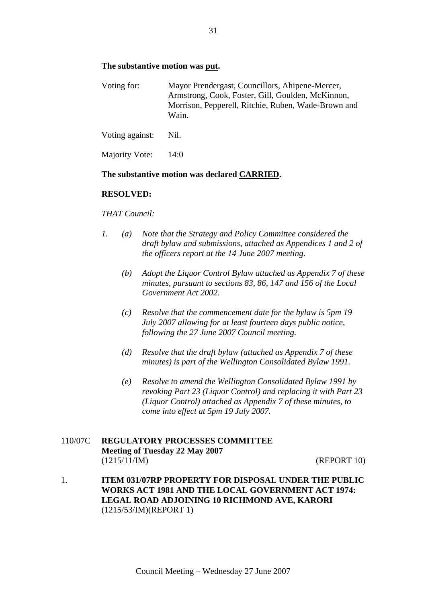### **The substantive motion was put.**

| Voting for: | Mayor Prendergast, Councillors, Ahipene-Mercer,     |  |  |  |
|-------------|-----------------------------------------------------|--|--|--|
|             | Armstrong, Cook, Foster, Gill, Goulden, McKinnon,   |  |  |  |
|             | Morrison, Pepperell, Ritchie, Ruben, Wade-Brown and |  |  |  |
|             | Wain.                                               |  |  |  |

Voting against: Nil.

Majority Vote: 14:0

#### **The substantive motion was declared CARRIED.**

#### **RESOLVED:**

#### *THAT Council:*

- *1. (a) Note that the Strategy and Policy Committee considered the draft bylaw and submissions, attached as Appendices 1 and 2 of the officers report at the 14 June 2007 meeting.* 
	- *(b) Adopt the Liquor Control Bylaw attached as Appendix 7 of these minutes, pursuant to sections 83, 86, 147 and 156 of the Local Government Act 2002.*
	- *(c) Resolve that the commencement date for the bylaw is 5pm 19 July 2007 allowing for at least fourteen days public notice, following the 27 June 2007 Council meeting.*
	- *(d) Resolve that the draft bylaw (attached as Appendix 7 of these minutes) is part of the Wellington Consolidated Bylaw 1991.*
	- *(e) Resolve to amend the Wellington Consolidated Bylaw 1991 by revoking Part 23 (Liquor Control) and replacing it with Part 23 (Liquor Control) attached as Appendix 7 of these minutes, to come into effect at 5pm 19 July 2007.*

# 110/07C **REGULATORY PROCESSES COMMITTEE Meeting of Tuesday 22 May 2007**  (1215/11/IM) (REPORT 10)

1. **ITEM 031/07RP PROPERTY FOR DISPOSAL UNDER THE PUBLIC WORKS ACT 1981 AND THE LOCAL GOVERNMENT ACT 1974: LEGAL ROAD ADJOINING 10 RICHMOND AVE, KARORI**  (1215/53/IM)(REPORT 1)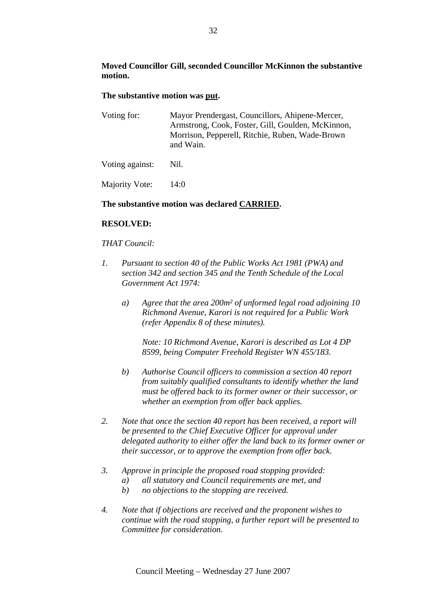# **Moved Councillor Gill, seconded Councillor McKinnon the substantive motion.**

#### **The substantive motion was put.**

| Voting for: | Mayor Prendergast, Councillors, Ahipene-Mercer,   |
|-------------|---------------------------------------------------|
|             | Armstrong, Cook, Foster, Gill, Goulden, McKinnon, |
|             | Morrison, Pepperell, Ritchie, Ruben, Wade-Brown   |
|             | and Wain.                                         |

Voting against: Nil.

Majority Vote: 14:0

# **The substantive motion was declared CARRIED.**

#### **RESOLVED:**

#### *THAT Council:*

- *1. Pursuant to section 40 of the Public Works Act 1981 (PWA) and section 342 and section 345 and the Tenth Schedule of the Local Government Act 1974:* 
	- *a) Agree that the area 200m² of unformed legal road adjoining 10 Richmond Avenue, Karori is not required for a Public Work (refer Appendix 8 of these minutes).*

*Note: 10 Richmond Avenue, Karori is described as Lot 4 DP 8599, being Computer Freehold Register WN 455/183.* 

- *b) Authorise Council officers to commission a section 40 report from suitably qualified consultants to identify whether the land must be offered back to its former owner or their successor, or whether an exemption from offer back applies.*
- *2. Note that once the section 40 report has been received, a report will be presented to the Chief Executive Officer for approval under delegated authority to either offer the land back to its former owner or their successor, or to approve the exemption from offer back.*
- *3. Approve in principle the proposed road stopping provided:* 
	- *a) all statutory and Council requirements are met, and*
	- *b) no objections to the stopping are received.*
- *4. Note that if objections are received and the proponent wishes to continue with the road stopping, a further report will be presented to Committee for consideration.*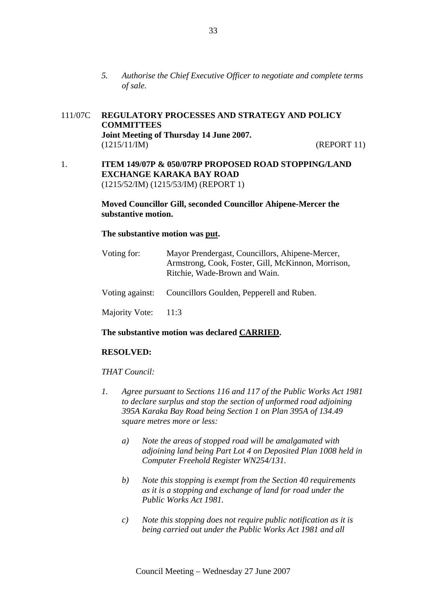*5. Authorise the Chief Executive Officer to negotiate and complete terms of sale.* 

# 111/07C **REGULATORY PROCESSES AND STRATEGY AND POLICY COMMITTEES Joint Meeting of Thursday 14 June 2007.**  (1215/11/IM) (REPORT 11)

1. **ITEM 149/07P & 050/07RP PROPOSED ROAD STOPPING/LAND EXCHANGE KARAKA BAY ROAD** (1215/52/IM) (1215/53/IM) (REPORT 1)

#### **Moved Councillor Gill, seconded Councillor Ahipene-Mercer the substantive motion.**

# **The substantive motion was put.**

| Voting for:         | Mayor Prendergast, Councillors, Ahipene-Mercer,<br>Armstrong, Cook, Foster, Gill, McKinnon, Morrison,<br>Ritchie, Wade-Brown and Wain. |
|---------------------|----------------------------------------------------------------------------------------------------------------------------------------|
|                     | Voting against: Councillors Goulden, Pepperell and Ruben.                                                                              |
| Majority Vote: 11:3 |                                                                                                                                        |

#### **The substantive motion was declared CARRIED.**

# **RESOLVED:**

#### *THAT Council:*

- *1. Agree pursuant to Sections 116 and 117 of the Public Works Act 1981 to declare surplus and stop the section of unformed road adjoining 395A Karaka Bay Road being Section 1 on Plan 395A of 134.49 square metres more or less:* 
	- *a) Note the areas of stopped road will be amalgamated with adjoining land being Part Lot 4 on Deposited Plan 1008 held in Computer Freehold Register WN254/131.*
	- *b) Note this stopping is exempt from the Section 40 requirements as it is a stopping and exchange of land for road under the Public Works Act 1981.*
	- *c) Note this stopping does not require public notification as it is being carried out under the Public Works Act 1981 and all*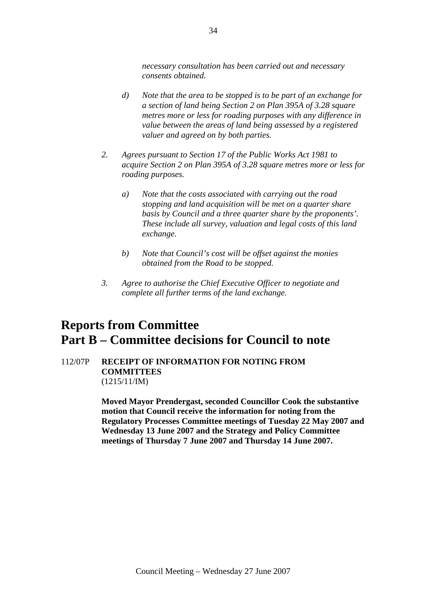*necessary consultation has been carried out and necessary consents obtained.* 

- *d) Note that the area to be stopped is to be part of an exchange for a section of land being Section 2 on Plan 395A of 3.28 square metres more or less for roading purposes with any difference in value between the areas of land being assessed by a registered valuer and agreed on by both parties.*
- *2. Agrees pursuant to Section 17 of the Public Works Act 1981 to acquire Section 2 on Plan 395A of 3.28 square metres more or less for roading purposes.* 
	- *a) Note that the costs associated with carrying out the road stopping and land acquisition will be met on a quarter share basis by Council and a three quarter share by the proponents'. These include all survey, valuation and legal costs of this land exchange.*
	- *b) Note that Council's cost will be offset against the monies obtained from the Road to be stopped.*
- *3. Agree to authorise the Chief Executive Officer to negotiate and complete all further terms of the land exchange.*

# **Reports from Committee Part B – Committee decisions for Council to note**

# 112/07P **RECEIPT OF INFORMATION FOR NOTING FROM COMMITTEES**  (1215/11/IM)

**Moved Mayor Prendergast, seconded Councillor Cook the substantive motion that Council receive the information for noting from the Regulatory Processes Committee meetings of Tuesday 22 May 2007 and Wednesday 13 June 2007 and the Strategy and Policy Committee meetings of Thursday 7 June 2007 and Thursday 14 June 2007.**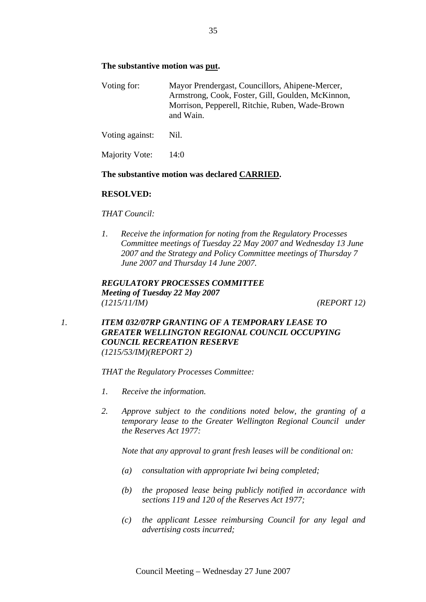# **The substantive motion was put.**

Voting for: Mayor Prendergast, Councillors, Ahipene-Mercer, Armstrong, Cook, Foster, Gill, Goulden, McKinnon, Morrison, Pepperell, Ritchie, Ruben, Wade-Brown and Wain.

Voting against: Nil.

Majority Vote: 14:0

# **The substantive motion was declared CARRIED.**

# **RESOLVED:**

# *THAT Council:*

*1. Receive the information for noting from the Regulatory Processes Committee meetings of Tuesday 22 May 2007 and Wednesday 13 June 2007 and the Strategy and Policy Committee meetings of Thursday 7 June 2007 and Thursday 14 June 2007.*

*REGULATORY PROCESSES COMMITTEE Meeting of Tuesday 22 May 2007 (1215/11/IM) (REPORT 12)*

*1. ITEM 032/07RP GRANTING OF A TEMPORARY LEASE TO GREATER WELLINGTON REGIONAL COUNCIL OCCUPYING COUNCIL RECREATION RESERVE (1215/53/IM)(REPORT 2)*

*THAT the Regulatory Processes Committee:* 

- *1. Receive the information.*
- *2. Approve subject to the conditions noted below, the granting of a temporary lease to the Greater Wellington Regional Council under the Reserves Act 1977:*

*Note that any approval to grant fresh leases will be conditional on:* 

- *(a) consultation with appropriate Iwi being completed;*
- *(b) the proposed lease being publicly notified in accordance with sections 119 and 120 of the Reserves Act 1977;*
- *(c) the applicant Lessee reimbursing Council for any legal and advertising costs incurred;*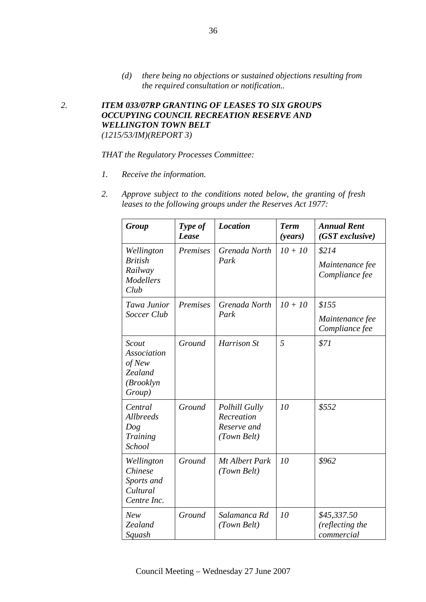*(d) there being no objections or sustained objections resulting from the required consultation or notification..* 

*2. ITEM 033/07RP GRANTING OF LEASES TO SIX GROUPS OCCUPYING COUNCIL RECREATION RESERVE AND WELLINGTON TOWN BELT (1215/53/IM)(REPORT 3)*

#### *THAT the Regulatory Processes Committee:*

- *1. Receive the information.*
- *2. Approve subject to the conditions noted below, the granting of fresh leases to the following groups under the Reserves Act 1977:*

| Group                                                                   | Type of<br>Lease | <b>Location</b>                                                  | <b>Term</b><br>(years) | <b>Annual Rent</b><br>$(GST$ exclusive)      |
|-------------------------------------------------------------------------|------------------|------------------------------------------------------------------|------------------------|----------------------------------------------|
| Wellington<br><b>British</b><br>Railway<br><b>Modellers</b><br>Club     | Premises         | Grenada North<br>Park                                            | $10 + 10$              | \$214<br>Maintenance fee<br>Compliance fee   |
| Tawa Junior<br>Soccer Club                                              | Premises         | Grenada North<br>Park                                            | $10 + 10$              | \$155<br>Maintenance fee<br>Compliance fee   |
| Scout<br><b>Association</b><br>of New<br>Zealand<br>(Brooklyn<br>Group) | Ground           | Harrison St                                                      | 5                      | \$71                                         |
| Central<br><b>Allbreeds</b><br>Dog<br>Training<br><b>School</b>         | Ground           | <b>Polhill Gully</b><br>Recreation<br>Reserve and<br>(Town Belt) | 10                     | \$552                                        |
| Wellington<br><b>Chinese</b><br>Sports and<br>Cultural<br>Centre Inc.   | Ground           | Mt Albert Park<br>(Town Belt)                                    | 10                     | \$962                                        |
| <b>New</b><br>Zealand<br>Squash                                         | Ground           | Salamanca Rd<br>(Town Belt)                                      | 10                     | \$45,337.50<br>(reflecting the<br>commercial |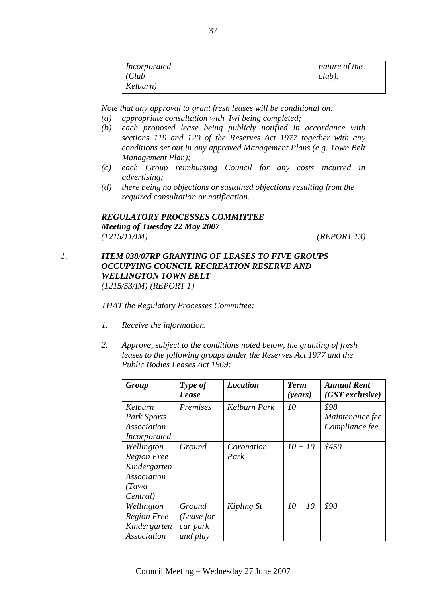| <i>Incorporated</i><br>(Club<br>Kelburn) | nature of the<br>$club$ ). |
|------------------------------------------|----------------------------|
|                                          |                            |

*Note that any approval to grant fresh leases will be conditional on:* 

- *(a) appropriate consultation with Iwi being completed;*
- *(b) each proposed lease being publicly notified in accordance with sections 119 and 120 of the Reserves Act 1977 together with any conditions set out in any approved Management Plans (e.g. Town Belt Management Plan);*
- *(c) each Group reimbursing Council for any costs incurred in advertising;*
- *(d) there being no objections or sustained objections resulting from the required consultation or notification.*

# *REGULATORY PROCESSES COMMITTEE Meeting of Tuesday 22 May 2007 (1215/11/IM) (REPORT 13)*

# *1. ITEM 038/07RP GRANTING OF LEASES TO FIVE GROUPS OCCUPYING COUNCIL RECREATION RESERVE AND WELLINGTON TOWN BELT (1215/53/IM) (REPORT 1)*

*THAT the Regulatory Processes Committee:* 

- *1. Receive the information.*
- *2. Approve, subject to the conditions noted below, the granting of fresh leases to the following groups under the Reserves Act 1977 and the Public Bodies Leases Act 1969:*

| Group                                                                                 | Type of<br>Lease                             | <b>Location</b>    | <b>Term</b><br>( <i>years</i> ) | <b>Annual Rent</b><br>$(GST$ exclusive)   |
|---------------------------------------------------------------------------------------|----------------------------------------------|--------------------|---------------------------------|-------------------------------------------|
| Kelburn<br><b>Park Sports</b><br>Association<br><i>Incorporated</i>                   | Premises                                     | Kelburn Park       | 10                              | \$98<br>Maintenance fee<br>Compliance fee |
| Wellington<br><b>Region Free</b><br>Kindergarten<br>Association<br>(Tawa)<br>Central) | Ground                                       | Coronation<br>Park | $10 + 10$                       | \$450                                     |
| Wellington<br><b>Region Free</b><br>Kindergarten<br>Association                       | Ground<br>(Lease for<br>car park<br>and play | Kipling St         | $10 + 10$                       | \$90                                      |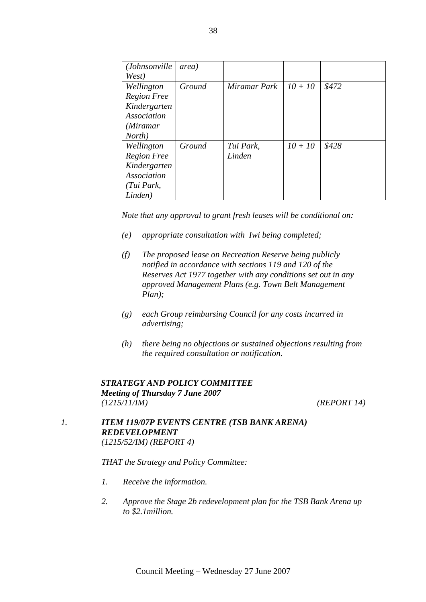| ( <i>Johnsonville</i> | area)  |              |           |       |
|-----------------------|--------|--------------|-----------|-------|
| West)                 |        |              |           |       |
| Wellington            | Ground | Miramar Park | $10 + 10$ | \$472 |
| <b>Region Free</b>    |        |              |           |       |
| Kindergarten          |        |              |           |       |
| Association           |        |              |           |       |
| (Miramar              |        |              |           |       |
| North)                |        |              |           |       |
| Wellington            | Ground | Tui Park,    | $10 + 10$ | \$428 |
| <b>Region Free</b>    |        | Linden       |           |       |
| Kindergarten          |        |              |           |       |
| Association           |        |              |           |       |
| (Tui Park,            |        |              |           |       |
| Linden)               |        |              |           |       |

*Note that any approval to grant fresh leases will be conditional on:* 

- *(e) appropriate consultation with Iwi being completed;*
- *(f) The proposed lease on Recreation Reserve being publicly notified in accordance with sections 119 and 120 of the Reserves Act 1977 together with any conditions set out in any approved Management Plans (e.g. Town Belt Management Plan);*
- *(g) each Group reimbursing Council for any costs incurred in advertising;*
- *(h) there being no objections or sustained objections resulting from the required consultation or notification.*

# *STRATEGY AND POLICY COMMITTEE Meeting of Thursday 7 June 2007 (1215/11/IM) (REPORT 14)*

# *1. ITEM 119/07P EVENTS CENTRE (TSB BANK ARENA) REDEVELOPMENT (1215/52/IM) (REPORT 4)*

- *1. Receive the information.*
- *2. Approve the Stage 2b redevelopment plan for the TSB Bank Arena up to \$2.1million.*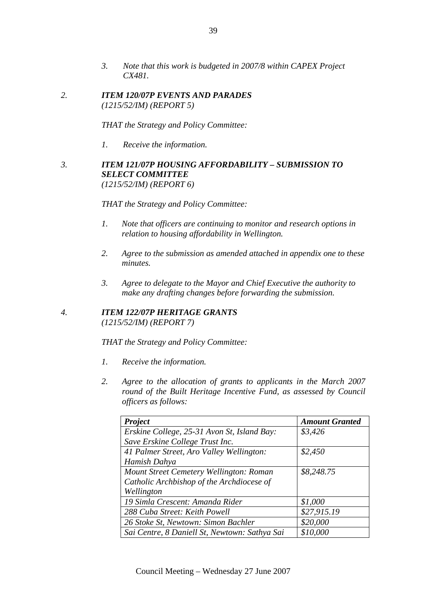- *3. Note that this work is budgeted in 2007/8 within CAPEX Project CX481.*
- *2. ITEM 120/07P EVENTS AND PARADES (1215/52/IM) (REPORT 5)*

*THAT the Strategy and Policy Committee:* 

*1. Receive the information.*

# *3. ITEM 121/07P HOUSING AFFORDABILITY – SUBMISSION TO SELECT COMMITTEE (1215/52/IM) (REPORT 6)*

*THAT the Strategy and Policy Committee:* 

- *1. Note that officers are continuing to monitor and research options in relation to housing affordability in Wellington.*
- *2. Agree to the submission as amended attached in appendix one to these minutes.*
- *3. Agree to delegate to the Mayor and Chief Executive the authority to make any drafting changes before forwarding the submission.*

# *4. ITEM 122/07P HERITAGE GRANTS (1215/52/IM) (REPORT 7)*

- *1. Receive the information.*
- *2. Agree to the allocation of grants to applicants in the March 2007 round of the Built Heritage Incentive Fund, as assessed by Council officers as follows:*

| Project                                       | <b>Amount Granted</b> |
|-----------------------------------------------|-----------------------|
| Erskine College, 25-31 Avon St, Island Bay:   | \$3,426               |
| Save Erskine College Trust Inc.               |                       |
| 41 Palmer Street, Aro Valley Wellington:      | \$2,450               |
| Hamish Dahya                                  |                       |
| Mount Street Cemetery Wellington: Roman       | \$8,248.75            |
| Catholic Archbishop of the Archdiocese of     |                       |
| Wellington                                    |                       |
| 19 Simla Crescent: Amanda Rider               | \$1,000               |
| 288 Cuba Street: Keith Powell                 | \$27,915.19           |
| 26 Stoke St, Newtown: Simon Bachler           | \$20,000              |
| Sai Centre, 8 Daniell St, Newtown: Sathya Sai | \$10,000              |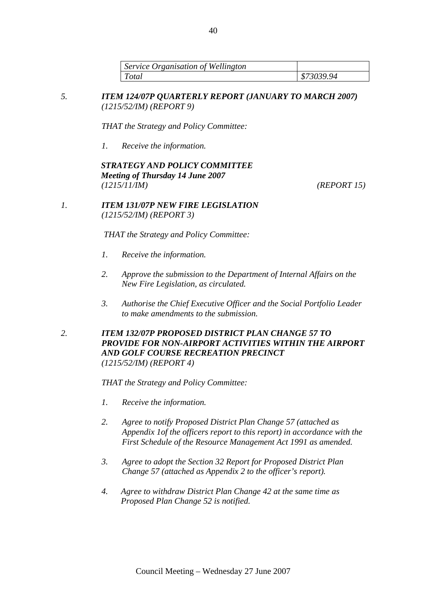| Service Organisation of Wellington |            |
|------------------------------------|------------|
| Total                              | \$73039.94 |

*5. ITEM 124/07P QUARTERLY REPORT (JANUARY TO MARCH 2007) (1215/52/IM) (REPORT 9)*

*THAT the Strategy and Policy Committee:* 

*1. Receive the information.*

# *STRATEGY AND POLICY COMMITTEE Meeting of Thursday 14 June 2007 (1215/11/IM) (REPORT 15)*

*1. ITEM 131/07P NEW FIRE LEGISLATION (1215/52/IM) (REPORT 3)*

*THAT the Strategy and Policy Committee:* 

- *1. Receive the information.*
- *2. Approve the submission to the Department of Internal Affairs on the New Fire Legislation, as circulated.*
- *3. Authorise the Chief Executive Officer and the Social Portfolio Leader to make amendments to the submission.*
- *2. ITEM 132/07P PROPOSED DISTRICT PLAN CHANGE 57 TO PROVIDE FOR NON-AIRPORT ACTIVITIES WITHIN THE AIRPORT AND GOLF COURSE RECREATION PRECINCT (1215/52/IM) (REPORT 4)*

- *1. Receive the information.*
- *2. Agree to notify Proposed District Plan Change 57 (attached as Appendix 1of the officers report to this report) in accordance with the First Schedule of the Resource Management Act 1991 as amended.*
- *3. Agree to adopt the Section 32 Report for Proposed District Plan Change 57 (attached as Appendix 2 to the officer's report).*
- *4. Agree to withdraw District Plan Change 42 at the same time as Proposed Plan Change 52 is notified.*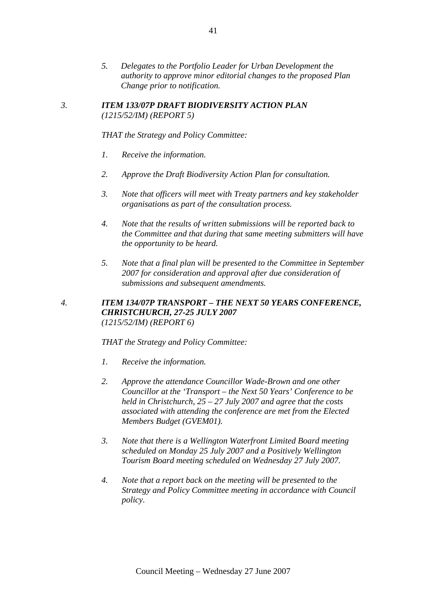*5. Delegates to the Portfolio Leader for Urban Development the authority to approve minor editorial changes to the proposed Plan Change prior to notification.* 

#### *3. ITEM 133/07P DRAFT BIODIVERSITY ACTION PLAN (1215/52/IM) (REPORT 5)*

*THAT the Strategy and Policy Committee:* 

- *1. Receive the information.*
- *2. Approve the Draft Biodiversity Action Plan for consultation.*
- *3. Note that officers will meet with Treaty partners and key stakeholder organisations as part of the consultation process.*
- *4. Note that the results of written submissions will be reported back to the Committee and that during that same meeting submitters will have the opportunity to be heard.*
- *5. Note that a final plan will be presented to the Committee in September 2007 for consideration and approval after due consideration of submissions and subsequent amendments.*

# *4. ITEM 134/07P TRANSPORT – THE NEXT 50 YEARS CONFERENCE, CHRISTCHURCH, 27-25 JULY 2007 (1215/52/IM) (REPORT 6)*

- *1. Receive the information.*
- *2. Approve the attendance Councillor Wade-Brown and one other Councillor at the 'Transport – the Next 50 Years' Conference to be held in Christchurch, 25 – 27 July 2007 and agree that the costs associated with attending the conference are met from the Elected Members Budget (GVEM01).*
- *3. Note that there is a Wellington Waterfront Limited Board meeting scheduled on Monday 25 July 2007 and a Positively Wellington Tourism Board meeting scheduled on Wednesday 27 July 2007.*
- *4. Note that a report back on the meeting will be presented to the Strategy and Policy Committee meeting in accordance with Council policy.*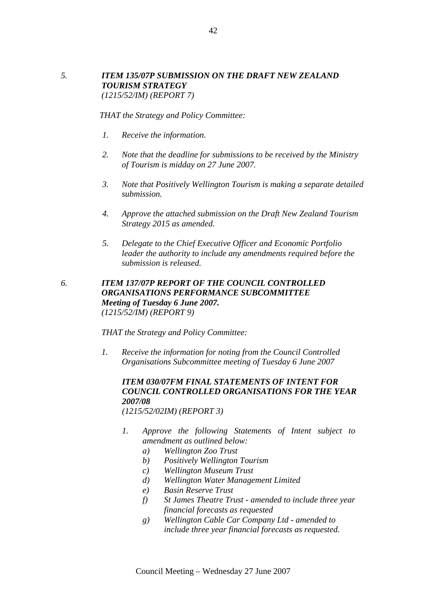# *5. ITEM 135/07P SUBMISSION ON THE DRAFT NEW ZEALAND TOURISM STRATEGY (1215/52/IM) (REPORT 7)*

*THAT the Strategy and Policy Committee:* 

- *1. Receive the information.*
- *2. Note that the deadline for submissions to be received by the Ministry of Tourism is midday on 27 June 2007.*
- *3. Note that Positively Wellington Tourism is making a separate detailed submission.*
- *4. Approve the attached submission on the Draft New Zealand Tourism Strategy 2015 as amended.*
- *5. Delegate to the Chief Executive Officer and Economic Portfolio leader the authority to include any amendments required before the submission is released.*
- *6. ITEM 137/07P REPORT OF THE COUNCIL CONTROLLED ORGANISATIONS PERFORMANCE SUBCOMMITTEE Meeting of Tuesday 6 June 2007. (1215/52/IM) (REPORT 9)*

*THAT the Strategy and Policy Committee:* 

*1. Receive the information for noting from the Council Controlled Organisations Subcommittee meeting of Tuesday 6 June 2007* 

# *ITEM 030/07FM FINAL STATEMENTS OF INTENT FOR COUNCIL CONTROLLED ORGANISATIONS FOR THE YEAR 2007/08*

*(1215/52/02IM) (REPORT 3)*

- *1. Approve the following Statements of Intent subject to amendment as outlined below:* 
	- *a) Wellington Zoo Trust*
	- *b) Positively Wellington Tourism*
	- *c) Wellington Museum Trust*
	- *d) Wellington Water Management Limited*
	- *e) Basin Reserve Trust*
	- *f) St James Theatre Trust amended to include three year financial forecasts as requested*
	- *g) Wellington Cable Car Company Ltd amended to include three year financial forecasts as requested.*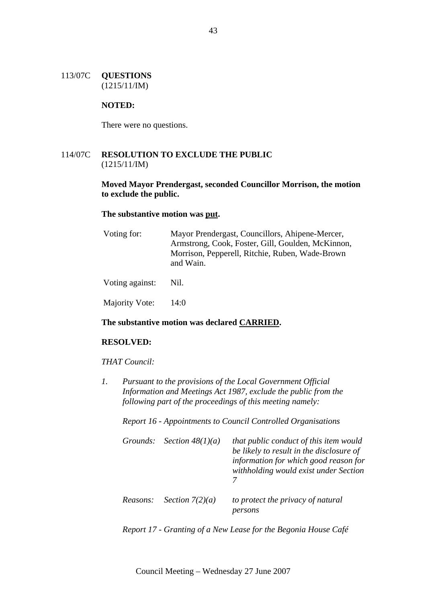#### 113/07C **QUESTIONS** (1215/11/IM)

#### **NOTED:**

There were no questions.

# 114/07C **RESOLUTION TO EXCLUDE THE PUBLIC**  (1215/11/IM)

# **Moved Mayor Prendergast, seconded Councillor Morrison, the motion to exclude the public.**

#### **The substantive motion was put.**

| Voting for:     | Mayor Prendergast, Councillors, Ahipene-Mercer,<br>Armstrong, Cook, Foster, Gill, Goulden, McKinnon,<br>Morrison, Pepperell, Ritchie, Ruben, Wade-Brown<br>and Wain. |
|-----------------|----------------------------------------------------------------------------------------------------------------------------------------------------------------------|
| Voting against: | Nil.                                                                                                                                                                 |

Majority Vote: 14:0

#### **The substantive motion was declared CARRIED.**

# **RESOLVED:**

#### *THAT Council:*

*1. Pursuant to the provisions of the Local Government Official Information and Meetings Act 1987, exclude the public from the following part of the proceedings of this meeting namely:* 

*Report 16 - Appointments to Council Controlled Organisations* 

|          | Grounds: Section $48(1)(a)$ | that public conduct of this item would<br>be likely to result in the disclosure of<br>information for which good reason for<br>withholding would exist under Section |
|----------|-----------------------------|----------------------------------------------------------------------------------------------------------------------------------------------------------------------|
| Reasons: | Section $7(2)(a)$           | to protect the privacy of natural<br>persons                                                                                                                         |

*Report 17 - Granting of a New Lease for the Begonia House Café*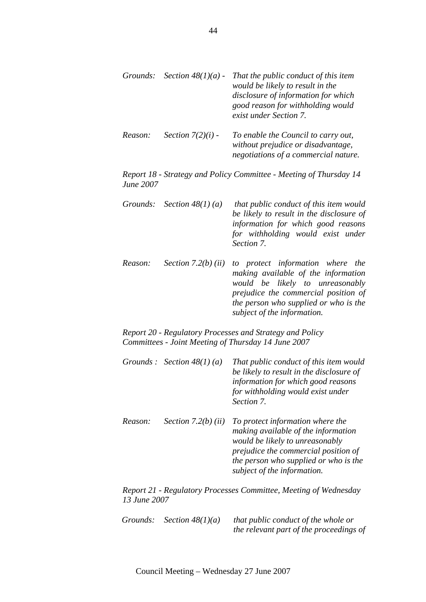|         |                     | Grounds: Section $48(1)(a)$ - That the public conduct of this item<br>would be likely to result in the<br>disclosure of information for which<br>good reason for withholding would<br>exist under Section 7. |
|---------|---------------------|--------------------------------------------------------------------------------------------------------------------------------------------------------------------------------------------------------------|
| Reason: | Section $7(2)(i)$ - | To enable the Council to carry out,                                                                                                                                                                          |

*Report 18 - Strategy and Policy Committee - Meeting of Thursday 14 June 2007* 

*without prejudice or disadvantage, negotiations of a commercial nature.* 

| Grounds: Section $48(1)(a)$ | that public conduct of this item would<br>be likely to result in the disclosure of<br>information for which good reasons<br>for withholding would exist under |
|-----------------------------|---------------------------------------------------------------------------------------------------------------------------------------------------------------|
|                             | Section 7.                                                                                                                                                    |

*Reason: Section 7.2(b) (ii) to protect information where the making available of the information would be likely to unreasonably prejudice the commercial position of the person who supplied or who is the subject of the information.* 

*Report 20 - Regulatory Processes and Strategy and Policy Committees - Joint Meeting of Thursday 14 June 2007* 

- *Grounds : Section 48(1) (a) That public conduct of this item would be likely to result in the disclosure of information for which good reasons for withholding would exist under Section 7.*
- *Reason: Section 7.2(b) (ii) To protect information where the making available of the information would be likely to unreasonably prejudice the commercial position of the person who supplied or who is the subject of the information.*

*Report 21 - Regulatory Processes Committee, Meeting of Wednesday 13 June 2007* 

| Grounds: Section $48(1)(a)$ | that public conduct of the whole or     |
|-----------------------------|-----------------------------------------|
|                             | the relevant part of the proceedings of |